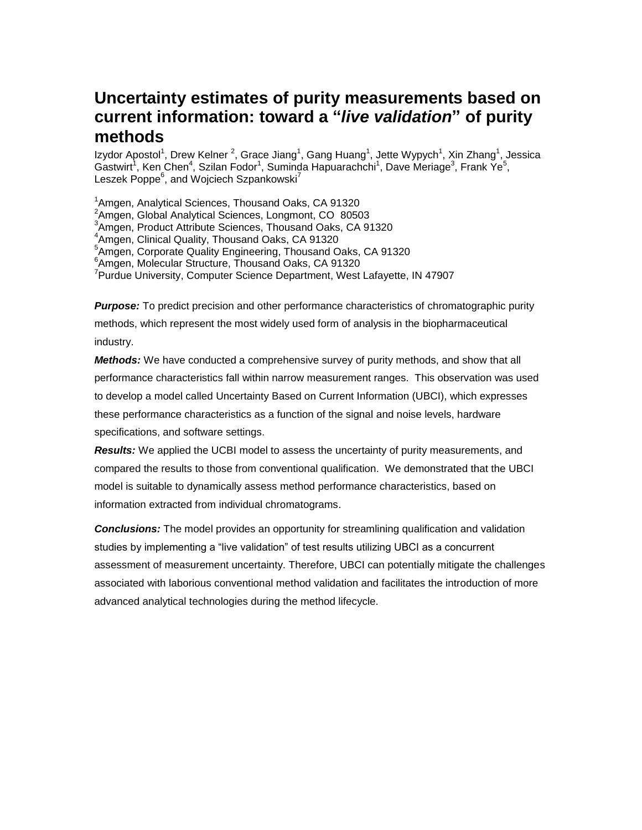# **Uncertainty estimates of purity measurements based on current information: toward a "***live validation***" of purity methods**

Izydor Apostol<sup>1</sup>, Drew Kelner <sup>2</sup>, Grace Jiang<sup>1</sup>, Gang Huang<sup>1</sup>, Jette Wypych<sup>1</sup>, Xin Zhang<sup>1</sup>, Jessica Gastwirt<sup>1</sup>, Ken Chen<sup>4</sup>, Szilan Fodor<sup>1</sup>, Suminda Hapuarachchi<sup>1</sup>, Dave Meriage<sup>3</sup>, Frank Ye<sup>5</sup>, Leszek Poppe<sup>6</sup>, and Wojciech Szpankowski<sup>7</sup>

<sup>1</sup>Amgen, Analytical Sciences, Thousand Oaks, CA 91320 <sup>2</sup>Amgen, Global Analytical Sciences, Longmont, CO 80503<br><sup>3</sup>Amgen, Product Attribute Sciences, Thousand Oaks, CA 91320 4 Amgen, Clinical Quality, Thousand Oaks, CA 91320 <sup>5</sup> Amgen, Corporate Quality Engineering, Thousand Oaks, CA 91320 6 Amgen, Molecular Structure, Thousand Oaks, CA 91320 <sup>7</sup> Purdue University, Computer Science Department, West Lafayette, IN 47907

*Purpose:* To predict precision and other performance characteristics of chromatographic purity methods, which represent the most widely used form of analysis in the biopharmaceutical industry.

*Methods:* We have conducted a comprehensive survey of purity methods, and show that all performance characteristics fall within narrow measurement ranges. This observation was used to develop a model called Uncertainty Based on Current Information (UBCI), which expresses these performance characteristics as a function of the signal and noise levels, hardware specifications, and software settings.

*Results:* We applied the UCBI model to assess the uncertainty of purity measurements, and compared the results to those from conventional qualification. We demonstrated that the UBCI model is suitable to dynamically assess method performance characteristics, based on information extracted from individual chromatograms.

*Conclusions:* The model provides an opportunity for streamlining qualification and validation studies by implementing a "live validation" of test results utilizing UBCI as a concurrent assessment of measurement uncertainty. Therefore, UBCI can potentially mitigate the challenges associated with laborious conventional method validation and facilitates the introduction of more advanced analytical technologies during the method lifecycle.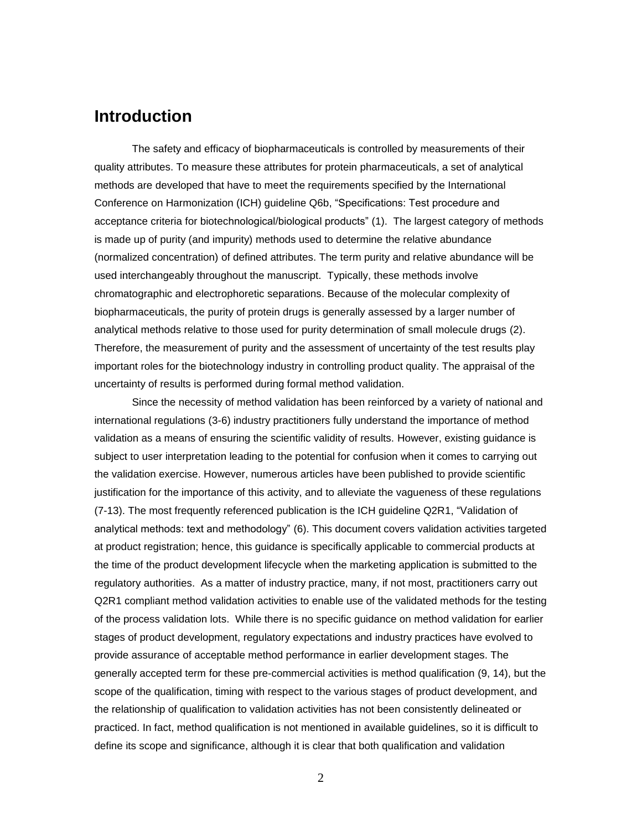# **Introduction**

The safety and efficacy of biopharmaceuticals is controlled by measurements of their quality attributes. To measure these attributes for protein pharmaceuticals, a set of analytical methods are developed that have to meet the requirements specified by the International Conference on Harmonization (ICH) guideline Q6b, "Specifications: Test procedure and acceptance criteria for biotechnological/biological products" [\(1\)](#page-21-0). The largest category of methods is made up of purity (and impurity) methods used to determine the relative abundance (normalized concentration) of defined attributes. The term purity and relative abundance will be used interchangeably throughout the manuscript. Typically, these methods involve chromatographic and electrophoretic separations. Because of the molecular complexity of biopharmaceuticals, the purity of protein drugs is generally assessed by a larger number of analytical methods relative to those used for purity determination of small molecule drugs [\(2\)](#page-21-1). Therefore, the measurement of purity and the assessment of uncertainty of the test results play important roles for the biotechnology industry in controlling product quality. The appraisal of the uncertainty of results is performed during formal method validation.

Since the necessity of method validation has been reinforced by a variety of national and international regulations [\(3-6\)](#page-21-2) industry practitioners fully understand the importance of method validation as a means of ensuring the scientific validity of results. However, existing guidance is subject to user interpretation leading to the potential for confusion when it comes to carrying out the validation exercise. However, numerous articles have been published to provide scientific justification for the importance of this activity, and to alleviate the vagueness of these regulations [\(7-13\)](#page-22-0). The most frequently referenced publication is the ICH guideline Q2R1, "Validation of analytical methods: text and methodology" [\(6\)](#page-22-1). This document covers validation activities targeted at product registration; hence, this guidance is specifically applicable to commercial products at the time of the product development lifecycle when the marketing application is submitted to the regulatory authorities. As a matter of industry practice, many, if not most, practitioners carry out Q2R1 compliant method validation activities to enable use of the validated methods for the testing of the process validation lots. While there is no specific guidance on method validation for earlier stages of product development, regulatory expectations and industry practices have evolved to provide assurance of acceptable method performance in earlier development stages. The generally accepted term for these pre-commercial activities is method qualification [\(9,](#page-22-2) [14\)](#page-22-3), but the scope of the qualification, timing with respect to the various stages of product development, and the relationship of qualification to validation activities has not been consistently delineated or practiced. In fact, method qualification is not mentioned in available guidelines, so it is difficult to define its scope and significance, although it is clear that both qualification and validation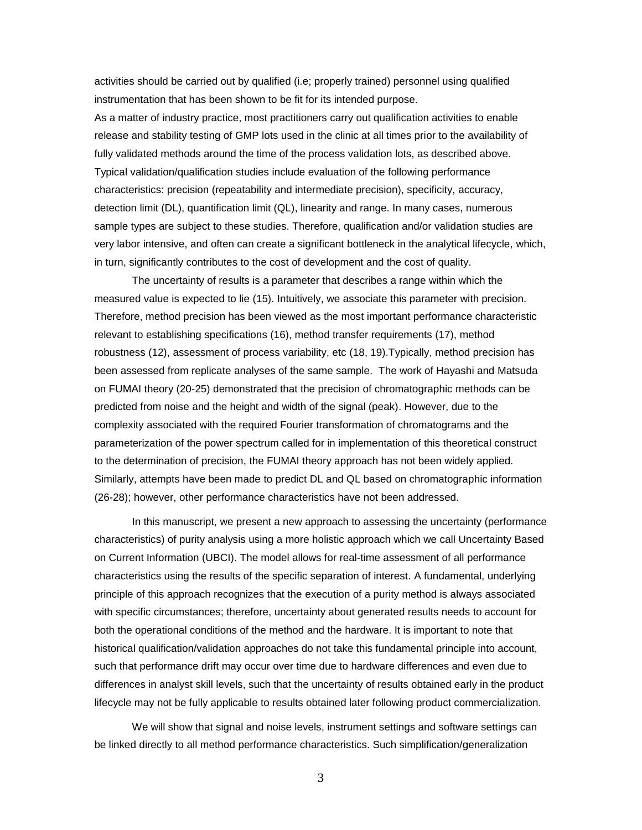activities should be carried out by qualified (i.e; properly trained) personnel using qualified instrumentation that has been shown to be fit for its intended purpose.

As a matter of industry practice, most practitioners carry out qualification activities to enable release and stability testing of GMP lots used in the clinic at all times prior to the availability of fully validated methods around the time of the process validation lots, as described above. Typical validation/qualification studies include evaluation of the following performance characteristics: precision (repeatability and intermediate precision), specificity, accuracy, detection limit (DL), quantification limit (QL), linearity and range. In many cases, numerous sample types are subject to these studies. Therefore, qualification and/or validation studies are very labor intensive, and often can create a significant bottleneck in the analytical lifecycle, which, in turn, significantly contributes to the cost of development and the cost of quality.

The uncertainty of results is a parameter that describes a range within which the measured value is expected to lie [\(15\)](#page-22-4). Intuitively, we associate this parameter with precision. Therefore, method precision has been viewed as the most important performance characteristic relevant to establishing specifications [\(16\)](#page-22-5), method transfer requirements [\(17\)](#page-22-6), method robustness [\(12\)](#page-22-7), assessment of process variability, etc [\(18,](#page-22-8) [19\)](#page-22-9).Typically, method precision has been assessed from replicate analyses of the same sample. The work of Hayashi and Matsuda on FUMAI theory [\(20-25\)](#page-22-10) demonstrated that the precision of chromatographic methods can be predicted from noise and the height and width of the signal (peak). However, due to the complexity associated with the required Fourier transformation of chromatograms and the parameterization of the power spectrum called for in implementation of this theoretical construct to the determination of precision, the FUMAI theory approach has not been widely applied. Similarly, attempts have been made to predict DL and QL based on chromatographic information [\(26-28\)](#page-22-11); however, other performance characteristics have not been addressed.

In this manuscript, we present a new approach to assessing the uncertainty (performance characteristics) of purity analysis using a more holistic approach which we call Uncertainty Based on Current Information (UBCI). The model allows for real-time assessment of all performance characteristics using the results of the specific separation of interest. A fundamental, underlying principle of this approach recognizes that the execution of a purity method is always associated with specific circumstances; therefore, uncertainty about generated results needs to account for both the operational conditions of the method and the hardware. It is important to note that historical qualification/validation approaches do not take this fundamental principle into account, such that performance drift may occur over time due to hardware differences and even due to differences in analyst skill levels, such that the uncertainty of results obtained early in the product lifecycle may not be fully applicable to results obtained later following product commercialization.

We will show that signal and noise levels, instrument settings and software settings can be linked directly to all method performance characteristics. Such simplification/generalization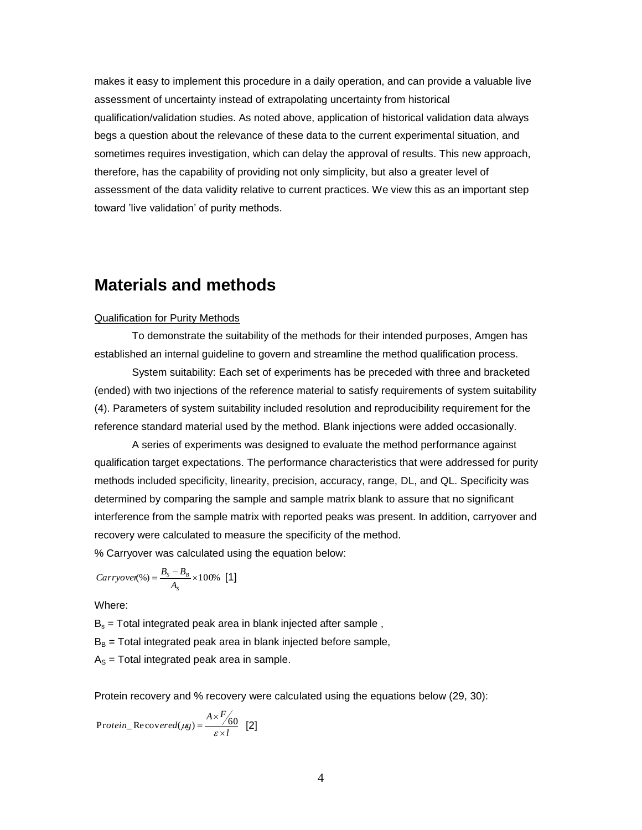makes it easy to implement this procedure in a daily operation, and can provide a valuable live assessment of uncertainty instead of extrapolating uncertainty from historical qualification/validation studies. As noted above, application of historical validation data always begs a question about the relevance of these data to the current experimental situation, and sometimes requires investigation, which can delay the approval of results. This new approach, therefore, has the capability of providing not only simplicity, but also a greater level of assessment of the data validity relative to current practices. We view this as an important step toward 'live validation' of purity methods.

# **Materials and methods**

#### Qualification for Purity Methods

To demonstrate the suitability of the methods for their intended purposes, Amgen has established an internal guideline to govern and streamline the method qualification process.

System suitability: Each set of experiments has be preceded with three and bracketed (ended) with two injections of the reference material to satisfy requirements of system suitability [\(4\)](#page-21-3). Parameters of system suitability included resolution and reproducibility requirement for the reference standard material used by the method. Blank injections were added occasionally.

A series of experiments was designed to evaluate the method performance against qualification target expectations. The performance characteristics that were addressed for purity methods included specificity, linearity, precision, accuracy, range, DL, and QL. Specificity was determined by comparing the sample and sample matrix blank to assure that no significant interference from the sample matrix with reported peaks was present. In addition, carryover and recovery were calculated to measure the specificity of the method. % Carryover was calculated using the equation below:

$$
Carryovee(\%) = \frac{B_s - B_B}{A_s} \times 100\% \quad [1]
$$

Where:

 $B<sub>s</sub>$  = Total integrated peak area in blank injected after sample,  $B_B$  = Total integrated peak area in blank injected before sample,  $A<sub>S</sub>$  = Total integrated peak area in sample.

Protein recovery and % recovery were calculated using the equations below [\(29,](#page-23-0) [30\)](#page-23-1):

Protein<sub>-</sub> Recovered(
$$
\mu
$$
g) =  $\frac{A \times \frac{F}{60}}{\varepsilon \times l}$  [2]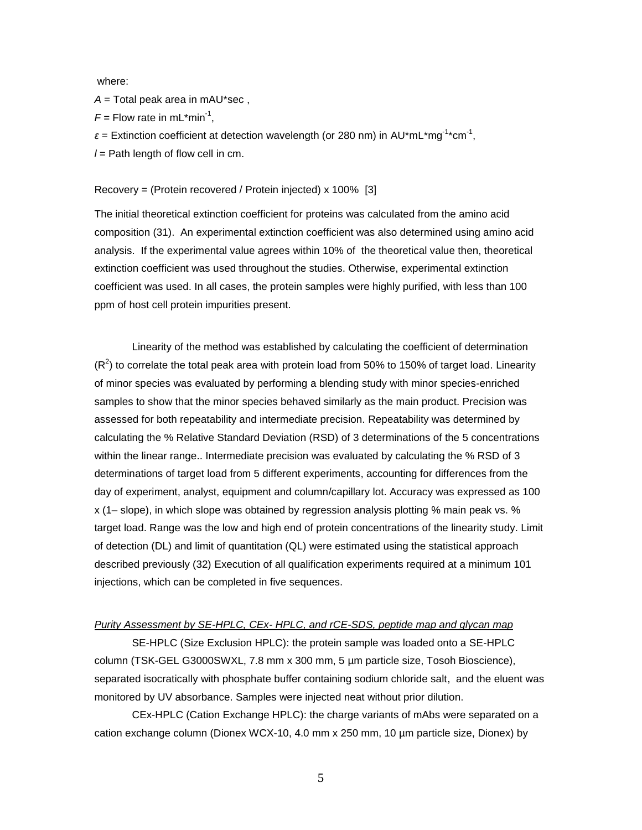#### where:

*A* = Total peak area in mAU\*sec ,

 $F =$  Flow rate in mL\*min<sup>-1</sup>,

 $\varepsilon$  = Extinction coefficient at detection wavelength (or 280 nm) in AU\*mL\*mg<sup>-1</sup>\*cm<sup>-1</sup>,

 $l =$  Path length of flow cell in cm.

#### Recovery = (Protein recovered / Protein injected) x 100% [3]

The initial theoretical extinction coefficient for proteins was calculated from the amino acid composition [\(31\)](#page-23-2). An experimental extinction coefficient was also determined using amino acid analysis. If the experimental value agrees within 10% of the theoretical value then, theoretical extinction coefficient was used throughout the studies. Otherwise, experimental extinction coefficient was used. In all cases, the protein samples were highly purified, with less than 100 ppm of host cell protein impurities present.

Linearity of the method was established by calculating the coefficient of determination  $(R<sup>2</sup>)$  to correlate the total peak area with protein load from 50% to 150% of target load. Linearity of minor species was evaluated by performing a blending study with minor species-enriched samples to show that the minor species behaved similarly as the main product. Precision was assessed for both repeatability and intermediate precision. Repeatability was determined by calculating the % Relative Standard Deviation (RSD) of 3 determinations of the 5 concentrations within the linear range.. Intermediate precision was evaluated by calculating the % RSD of 3 determinations of target load from 5 different experiments, accounting for differences from the day of experiment, analyst, equipment and column/capillary lot. Accuracy was expressed as 100 x (1– slope), in which slope was obtained by regression analysis plotting % main peak vs. % target load. Range was the low and high end of protein concentrations of the linearity study. Limit of detection (DL) and limit of quantitation (QL) were estimated using the statistical approach described previously [\(32\)](#page-23-3) Execution of all qualification experiments required at a minimum 101 injections, which can be completed in five sequences.

#### *Purity Assessment by SE-HPLC, CEx- HPLC, and rCE-SDS, peptide map and glycan map*

SE-HPLC (Size Exclusion HPLC): the protein sample was loaded onto a SE-HPLC column (TSK-GEL G3000SWXL, 7.8 mm x 300 mm, 5 µm particle size, Tosoh Bioscience), separated isocratically with phosphate buffer containing sodium chloride salt, and the eluent was monitored by UV absorbance. Samples were injected neat without prior dilution.

CEx-HPLC (Cation Exchange HPLC): the charge variants of mAbs were separated on a cation exchange column (Dionex WCX-10, 4.0 mm x 250 mm, 10 µm particle size, Dionex) by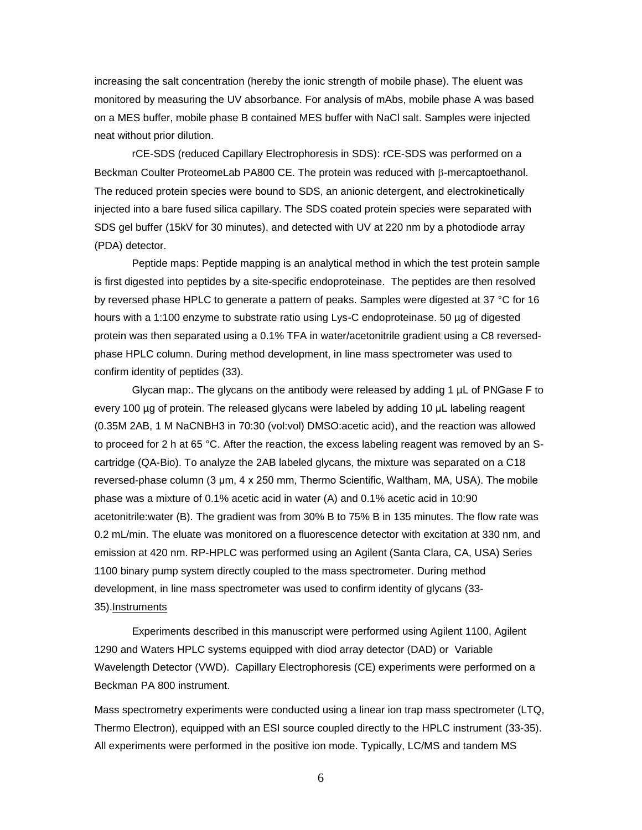increasing the salt concentration (hereby the ionic strength of mobile phase). The eluent was monitored by measuring the UV absorbance. For analysis of mAbs, mobile phase A was based on a MES buffer, mobile phase B contained MES buffer with NaCl salt. Samples were injected neat without prior dilution.

rCE-SDS (reduced Capillary Electrophoresis in SDS): rCE-SDS was performed on a Beckman Coulter ProteomeLab PA800 CE. The protein was reduced with  $\beta$ -mercaptoethanol. The reduced protein species were bound to SDS, an anionic detergent, and electrokinetically injected into a bare fused silica capillary. The SDS coated protein species were separated with SDS gel buffer (15kV for 30 minutes), and detected with UV at 220 nm by a photodiode array (PDA) detector.

Peptide maps: Peptide mapping is an analytical method in which the test protein sample is first digested into peptides by a site-specific endoproteinase. The peptides are then resolved by reversed phase HPLC to generate a pattern of peaks. Samples were digested at 37 °C for 16 hours with a 1:100 enzyme to substrate ratio using Lys-C endoproteinase. 50 µg of digested protein was then separated using a 0.1% TFA in water/acetonitrile gradient using a C8 reversedphase HPLC column. During method development, in line mass spectrometer was used to confirm identity of peptides [\(33\)](#page-23-4).

Glycan map:. The glycans on the antibody were released by adding 1  $\mu$ L of PNGase F to every 100 µg of protein. The released glycans were labeled by adding 10 μL labeling reagent (0.35M 2AB, 1 M NaCNBH3 in 70:30 (vol:vol) DMSO:acetic acid), and the reaction was allowed to proceed for 2 h at 65 °C. After the reaction, the excess labeling reagent was removed by an Scartridge (QA-Bio). To analyze the 2AB labeled glycans, the mixture was separated on a C18 reversed-phase column (3 μm, 4 x 250 mm, Thermo Scientific, Waltham, MA, USA). The mobile phase was a mixture of 0.1% acetic acid in water (A) and 0.1% acetic acid in 10:90 acetonitrile:water (B). The gradient was from 30% B to 75% B in 135 minutes. The flow rate was 0.2 mL/min. The eluate was monitored on a fluorescence detector with excitation at 330 nm, and emission at 420 nm. RP-HPLC was performed using an Agilent (Santa Clara, CA, USA) Series 1100 binary pump system directly coupled to the mass spectrometer. During method development, in line mass spectrometer was used to confirm identity of glycans [\(33-](#page-23-4) [35\)](#page-23-4).Instruments

Experiments described in this manuscript were performed using Agilent 1100, Agilent 1290 and Waters HPLC systems equipped with diod array detector (DAD) or Variable Wavelength Detector (VWD). Capillary Electrophoresis (CE) experiments were performed on a Beckman PA 800 instrument.

Mass spectrometry experiments were conducted using a linear ion trap mass spectrometer (LTQ, Thermo Electron), equipped with an ESI source coupled directly to the HPLC instrument [\(33-35\)](#page-23-4). All experiments were performed in the positive ion mode. Typically, LC/MS and tandem MS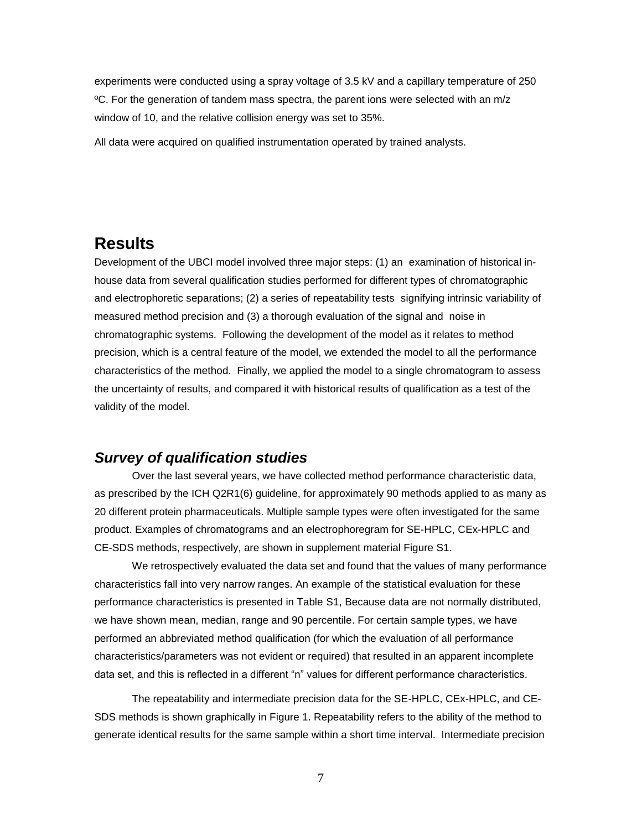experiments were conducted using a spray voltage of 3.5 kV and a capillary temperature of 250  $\degree$ C. For the generation of tandem mass spectra, the parent ions were selected with an m/z window of 10, and the relative collision energy was set to 35%.

All data were acquired on qualified instrumentation operated by trained analysts.

# **Results**

Development of the UBCI model involved three major steps: (1) an examination of historical inhouse data from several qualification studies performed for different types of chromatographic and electrophoretic separations; (2) a series of repeatability tests signifying intrinsic variability of measured method precision and (3) a thorough evaluation of the signal and noise in chromatographic systems. Following the development of the model as it relates to method precision, which is a central feature of the model, we extended the model to all the performance characteristics of the method. Finally, we applied the model to a single chromatogram to assess the uncertainty of results, and compared it with historical results of qualification as a test of the validity of the model.

### *Survey of qualification studies*

Over the last several years, we have collected method performance characteristic data, as prescribed by the ICH Q2R1[\(6\)](#page-22-1) guideline, for approximately 90 methods applied to as many as 20 different protein pharmaceuticals. Multiple sample types were often investigated for the same product. Examples of chromatograms and an electrophoregram for SE-HPLC, CEx-HPLC and CE-SDS methods, respectively, are shown in supplement material Figure S1.

We retrospectively evaluated the data set and found that the values of many performance characteristics fall into very narrow ranges. An example of the statistical evaluation for these performance characteristics is presented in Table S1, Because data are not normally distributed, we have shown mean, median, range and 90 percentile. For certain sample types, we have performed an abbreviated method qualification (for which the evaluation of all performance characteristics/parameters was not evident or required) that resulted in an apparent incomplete data set, and this is reflected in a different "n" values for different performance characteristics.

The repeatability and intermediate precision data for the SE-HPLC, CEx-HPLC, and CE-SDS methods is shown graphically in Figure 1. Repeatability refers to the ability of the method to generate identical results for the same sample within a short time interval. Intermediate precision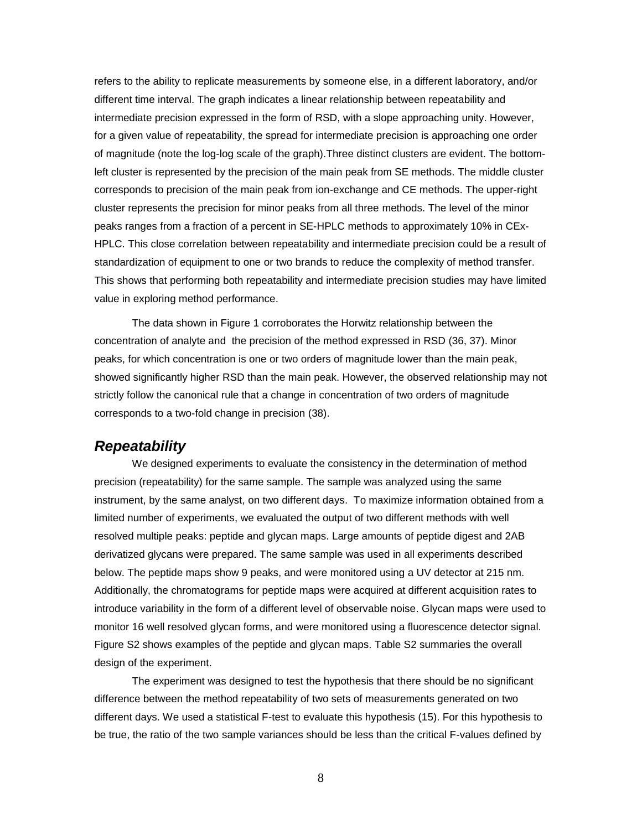refers to the ability to replicate measurements by someone else, in a different laboratory, and/or different time interval. The graph indicates a linear relationship between repeatability and intermediate precision expressed in the form of RSD, with a slope approaching unity. However, for a given value of repeatability, the spread for intermediate precision is approaching one order of magnitude (note the log-log scale of the graph).Three distinct clusters are evident. The bottomleft cluster is represented by the precision of the main peak from SE methods. The middle cluster corresponds to precision of the main peak from ion-exchange and CE methods. The upper-right cluster represents the precision for minor peaks from all three methods. The level of the minor peaks ranges from a fraction of a percent in SE-HPLC methods to approximately 10% in CEx-HPLC. This close correlation between repeatability and intermediate precision could be a result of standardization of equipment to one or two brands to reduce the complexity of method transfer. This shows that performing both repeatability and intermediate precision studies may have limited value in exploring method performance.

The data shown in Figure 1 corroborates the Horwitz relationship between the concentration of analyte and the precision of the method expressed in RSD [\(36,](#page-23-5) [37\)](#page-23-6). Minor peaks, for which concentration is one or two orders of magnitude lower than the main peak, showed significantly higher RSD than the main peak. However, the observed relationship may not strictly follow the canonical rule that a change in concentration of two orders of magnitude corresponds to a two-fold change in precision [\(38\)](#page-23-7).

### *Repeatability*

We designed experiments to evaluate the consistency in the determination of method precision (repeatability) for the same sample. The sample was analyzed using the same instrument, by the same analyst, on two different days. To maximize information obtained from a limited number of experiments, we evaluated the output of two different methods with well resolved multiple peaks: peptide and glycan maps. Large amounts of peptide digest and 2AB derivatized glycans were prepared. The same sample was used in all experiments described below. The peptide maps show 9 peaks, and were monitored using a UV detector at 215 nm. Additionally, the chromatograms for peptide maps were acquired at different acquisition rates to introduce variability in the form of a different level of observable noise. Glycan maps were used to monitor 16 well resolved glycan forms, and were monitored using a fluorescence detector signal. Figure S2 shows examples of the peptide and glycan maps. Table S2 summaries the overall design of the experiment.

The experiment was designed to test the hypothesis that there should be no significant difference between the method repeatability of two sets of measurements generated on two different days. We used a statistical F-test to evaluate this hypothesis [\(15\)](#page-22-4). For this hypothesis to be true, the ratio of the two sample variances should be less than the critical F-values defined by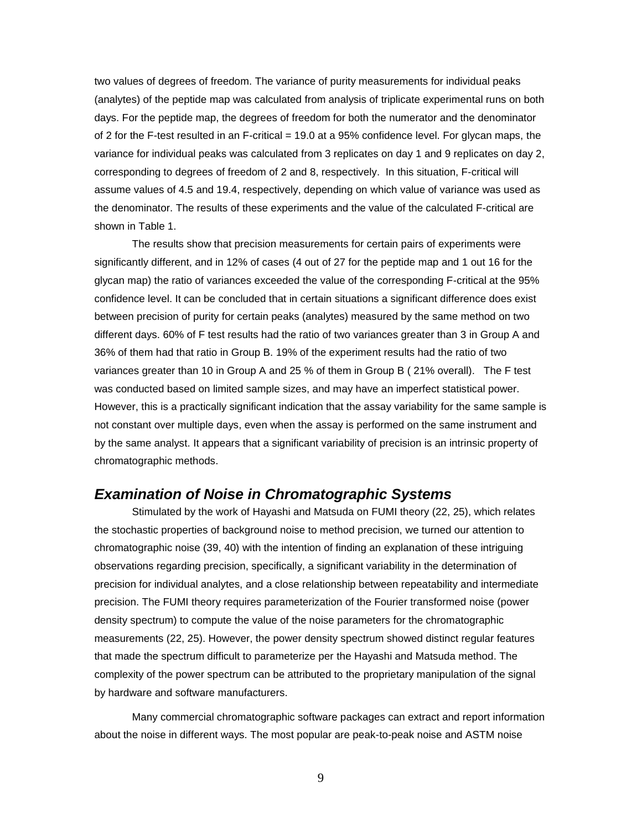two values of degrees of freedom. The variance of purity measurements for individual peaks (analytes) of the peptide map was calculated from analysis of triplicate experimental runs on both days. For the peptide map, the degrees of freedom for both the numerator and the denominator of 2 for the F-test resulted in an F-critical = 19.0 at a 95% confidence level. For glycan maps, the variance for individual peaks was calculated from 3 replicates on day 1 and 9 replicates on day 2, corresponding to degrees of freedom of 2 and 8, respectively. In this situation, F-critical will assume values of 4.5 and 19.4, respectively, depending on which value of variance was used as the denominator. The results of these experiments and the value of the calculated F-critical are shown in Table 1.

The results show that precision measurements for certain pairs of experiments were significantly different, and in 12% of cases (4 out of 27 for the peptide map and 1 out 16 for the glycan map) the ratio of variances exceeded the value of the corresponding F-critical at the 95% confidence level. It can be concluded that in certain situations a significant difference does exist between precision of purity for certain peaks (analytes) measured by the same method on two different days. 60% of F test results had the ratio of two variances greater than 3 in Group A and 36% of them had that ratio in Group B. 19% of the experiment results had the ratio of two variances greater than 10 in Group A and 25 % of them in Group B ( 21% overall). The F test was conducted based on limited sample sizes, and may have an imperfect statistical power. However, this is a practically significant indication that the assay variability for the same sample is not constant over multiple days, even when the assay is performed on the same instrument and by the same analyst. It appears that a significant variability of precision is an intrinsic property of chromatographic methods.

### *Examination of Noise in Chromatographic Systems*

Stimulated by the work of Hayashi and Matsuda on FUMI theory [\(22,](#page-22-12) [25\)](#page-22-13), which relates the stochastic properties of background noise to method precision, we turned our attention to chromatographic noise [\(39,](#page-23-8) [40\)](#page-23-9) with the intention of finding an explanation of these intriguing observations regarding precision, specifically, a significant variability in the determination of precision for individual analytes, and a close relationship between repeatability and intermediate precision. The FUMI theory requires parameterization of the Fourier transformed noise (power density spectrum) to compute the value of the noise parameters for the chromatographic measurements [\(22,](#page-22-12) [25\)](#page-22-13). However, the power density spectrum showed distinct regular features that made the spectrum difficult to parameterize per the Hayashi and Matsuda method. The complexity of the power spectrum can be attributed to the proprietary manipulation of the signal by hardware and software manufacturers.

Many commercial chromatographic software packages can extract and report information about the noise in different ways. The most popular are peak-to-peak noise and ASTM noise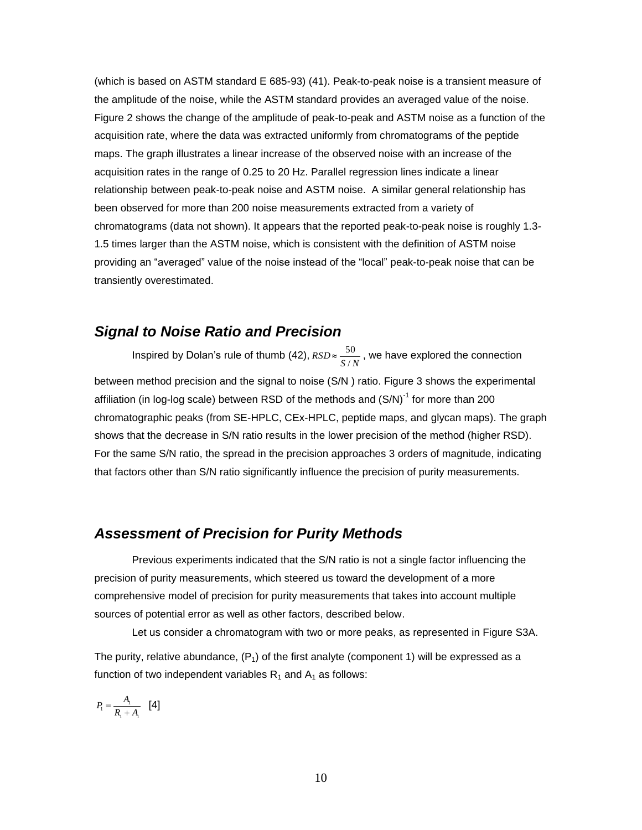(which is based on ASTM standard E 685-93) [\(41\)](#page-23-10). Peak-to-peak noise is a transient measure of the amplitude of the noise, while the ASTM standard provides an averaged value of the noise. Figure 2 shows the change of the amplitude of peak-to-peak and ASTM noise as a function of the acquisition rate, where the data was extracted uniformly from chromatograms of the peptide maps. The graph illustrates a linear increase of the observed noise with an increase of the acquisition rates in the range of 0.25 to 20 Hz. Parallel regression lines indicate a linear relationship between peak-to-peak noise and ASTM noise. A similar general relationship has been observed for more than 200 noise measurements extracted from a variety of chromatograms (data not shown). It appears that the reported peak-to-peak noise is roughly 1.3- 1.5 times larger than the ASTM noise, which is consistent with the definition of ASTM noise providing an "averaged" value of the noise instead of the "local" peak-to-peak noise that can be transiently overestimated.

## *Signal to Noise Ratio and Precision*

Inspired by Dolan's rule of thumb [\(42\)](#page-23-11),  $RSD \approx \frac{30}{S/N}$  $\approx \frac{50}{200}$ , we have explored the connection between method precision and the signal to noise (S/N ) ratio. Figure 3 shows the experimental affiliation (in log-log scale) between RSD of the methods and  $(S/N)^{-1}$  for more than 200 chromatographic peaks (from SE-HPLC, CEx-HPLC, peptide maps, and glycan maps). The graph shows that the decrease in S/N ratio results in the lower precision of the method (higher RSD). For the same S/N ratio, the spread in the precision approaches 3 orders of magnitude, indicating that factors other than S/N ratio significantly influence the precision of purity measurements.

## *Assessment of Precision for Purity Methods*

Previous experiments indicated that the S/N ratio is not a single factor influencing the precision of purity measurements, which steered us toward the development of a more comprehensive model of precision for purity measurements that takes into account multiple sources of potential error as well as other factors, described below.

Let us consider a chromatogram with two or more peaks, as represented in Figure S3A. The purity, relative abundance,  $(P_1)$  of the first analyte (component 1) will be expressed as a function of two independent variables  $R_1$  and  $A_1$  as follows:

$$
P_{\scriptscriptstyle 1} = \frac{A_{\scriptscriptstyle 1}}{R_{\scriptscriptstyle 1} + A_{\scriptscriptstyle 1}} \quad [4]
$$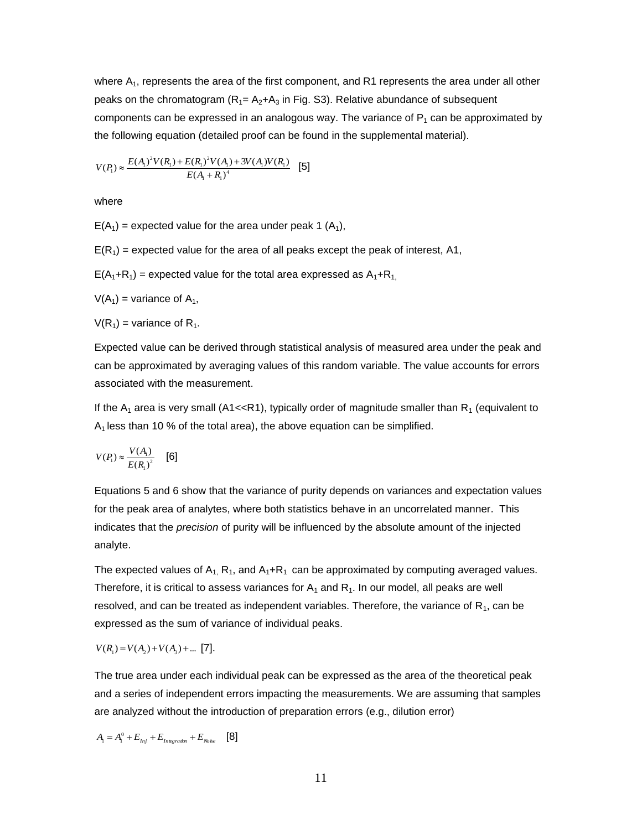where  $A_1$ , represents the area of the first component, and R1 represents the area under all other peaks on the chromatogram  $(R_1 = A_2 + A_3)$  in Fig. S3). Relative abundance of subsequent components can be expressed in an analogous way. The variance of  $P_1$  can be approximated by the following equation (detailed proof can be found in the supplemental material).

$$
V(P_1) \approx \frac{E(A_1)^2 V(R_1) + E(R_1)^2 V(A_1) + 3V(A_1)V(R_1)}{E(A_1 + R_1)^4}
$$
 [5]

where

 $E(A_1)$  = expected value for the area under peak 1 (A<sub>1</sub>),

 $E(R_1)$  = expected value for the area of all peaks except the peak of interest, A1,

 $E(A_1+R_1)$  = expected value for the total area expressed as  $A_1+R_1$ ,

 $V(A_1)$  = variance of  $A_1$ ,

 $V(R_1)$  = variance of R<sub>1</sub>.

Expected value can be derived through statistical analysis of measured area under the peak and can be approximated by averaging values of this random variable. The value accounts for errors associated with the measurement.

If the  $A_1$  area is very small (A1<<R1), typically order of magnitude smaller than  $R_1$  (equivalent to  $A_1$  less than 10 % of the total area), the above equation can be simplified.

$$
V(P_1) \approx \frac{V(A_1)}{E(R_1)^2} \quad [6]
$$

Equations 5 and 6 show that the variance of purity depends on variances and expectation values for the peak area of analytes, where both statistics behave in an uncorrelated manner. This indicates that the *precision* of purity will be influenced by the absolute amount of the injected analyte.

The expected values of  $A_1, B_1,$  and  $A_1 + B_1$  can be approximated by computing averaged values. Therefore, it is critical to assess variances for  $A_1$  and  $R_1$ . In our model, all peaks are well resolved, and can be treated as independent variables. Therefore, the variance of  $R_1$ , can be expressed as the sum of variance of individual peaks.

$$
V(R_1) = V(A_2) + V(A_3) + \dots
$$
 [7].

The true area under each individual peak can be expressed as the area of the theoretical peak and a series of independent errors impacting the measurements. We are assuming that samples are analyzed without the introduction of preparation errors (e.g., dilution error)

 $A_{\rm l} = A_{\rm l}^0 + E_{\rm Inj.} + E_{\rm Integration} + E_{\rm Noise}$  [8]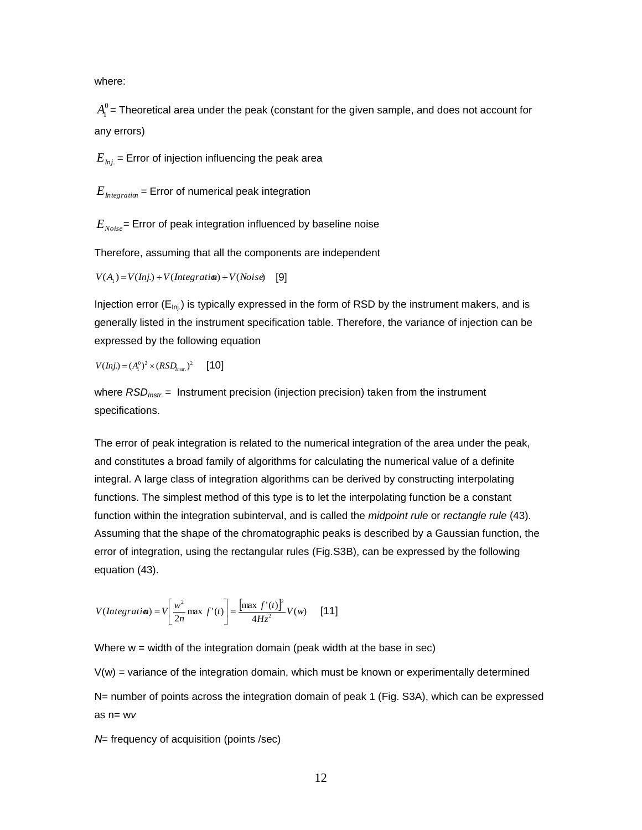where:

 $A_{\rm l}^0$  = Theoretical area under the peak (constant for the given sample, and does not account for any errors)

 $E_{\mathit{Inj.}}$  = Error of injection influencing the peak area

 $E_{\textit{Integration}}$  = Error of numerical peak integration

 $E_{\scriptsize{Noise}}$ = Error of peak integration influenced by baseline noise

Therefore, assuming that all the components are independent

 $V(A_1) = V(Inj.) + V(Integrating) + V(Noise)$  [9]

Injection error  $(E_{\text{Inj.}})$  is typically expressed in the form of RSD by the instrument makers, and is generally listed in the instrument specification table. Therefore, the variance of injection can be expressed by the following equation

 $V(Inj.) = (A_1^0)^2 \times (RSD_{Instr.})^2$  [10]

where *RSDInstr*. = Instrument precision (injection precision) taken from the instrument specifications.

The error of peak integration is related to the numerical integration of the area under the peak, and constitutes a broad family of algorithms for calculating the numerical value of a definite integral. A large class of integration algorithms can be derived by constructing interpolating functions. The simplest method of this type is to let the interpolating function be a constant function within the integration subinterval, and is called the *midpoint rule* or *rectangle rule* [\(43\)](#page-23-12). Assuming that the shape of the chromatographic peaks is described by a Gaussian function, the error of integration, using the rectangular rules (Fig.S3B), can be expressed by the following equation [\(43\)](#page-23-12).

$$
V(Integrating) = V\left[\frac{w^2}{2n} \max f'(t)\right] = \frac{\left[\max f'(t)\right]^2}{4Hz^2} V(w) \quad [11]
$$

Where  $w =$  width of the integration domain (peak width at the base in sec)

 $V(w)$  = variance of the integration domain, which must be known or experimentally determined N= number of points across the integration domain of peak 1 (Fig. S3A), which can be expressed as n= w*ν*

*Ν*= frequency of acquisition (points /sec)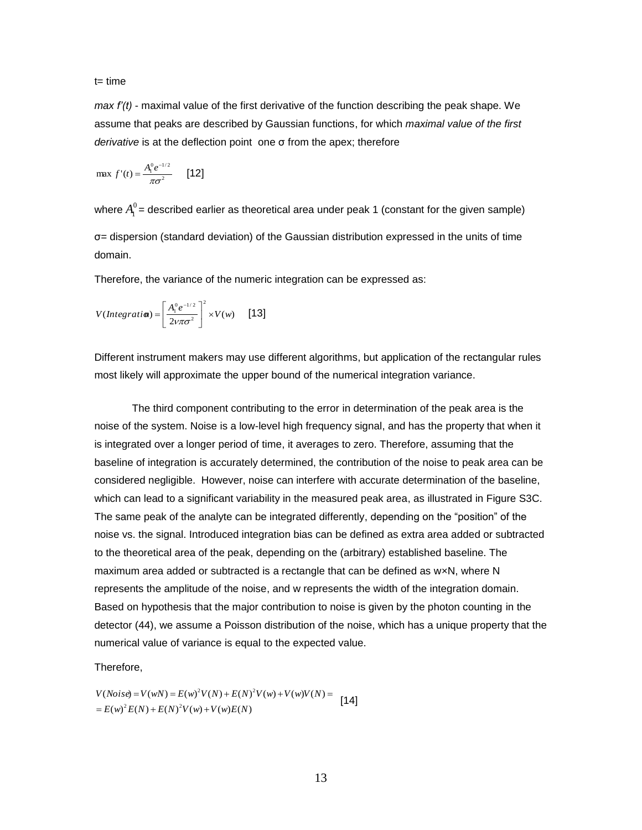$t =$  time

*max f'(t)* - maximal value of the first derivative of the function describing the peak shape. We assume that peaks are described by Gaussian functions, for which *maximal value of the first derivative* is at the deflection point one σ from the apex; therefore

$$
\max f'(t) = \frac{A_1^0 e^{-1/2}}{\pi \sigma^2} \qquad [12]
$$

where  $A_{\rm l}^0$  = described earlier as theoretical area under peak 1 (constant for the given sample) σ= dispersion (standard deviation) of the Gaussian distribution expressed in the units of time domain.

Therefore, the variance of the numeric integration can be expressed as:

$$
V(Integrating) = \left[\frac{A_1^0 e^{-1/2}}{2\nu\pi\sigma^2}\right]^2 \times V(w) \qquad [13]
$$

Different instrument makers may use different algorithms, but application of the rectangular rules most likely will approximate the upper bound of the numerical integration variance.

The third component contributing to the error in determination of the peak area is the noise of the system. Noise is a low-level high frequency signal, and has the property that when it is integrated over a longer period of time, it averages to zero. Therefore, assuming that the baseline of integration is accurately determined, the contribution of the noise to peak area can be considered negligible. However, noise can interfere with accurate determination of the baseline, which can lead to a significant variability in the measured peak area, as illustrated in Figure S3C. The same peak of the analyte can be integrated differently, depending on the "position" of the noise vs. the signal. Introduced integration bias can be defined as extra area added or subtracted to the theoretical area of the peak, depending on the (arbitrary) established baseline. The maximum area added or subtracted is a rectangle that can be defined as w×N, where N represents the amplitude of the noise, and w represents the width of the integration domain. Based on hypothesis that the major contribution to noise is given by the photon counting in the detector [\(44\)](#page-23-13), we assume a Poisson distribution of the noise, which has a unique property that the numerical value of variance is equal to the expected value.

#### Therefore,

 $E(W)^2 E(N) + E(N)^2 V(w) + V(w) E(N)$  $V(Noise) = V(wN) = E(w)^{2}V(N) + E(N)^{2}V(w) + V(w)V(N) =$  [14]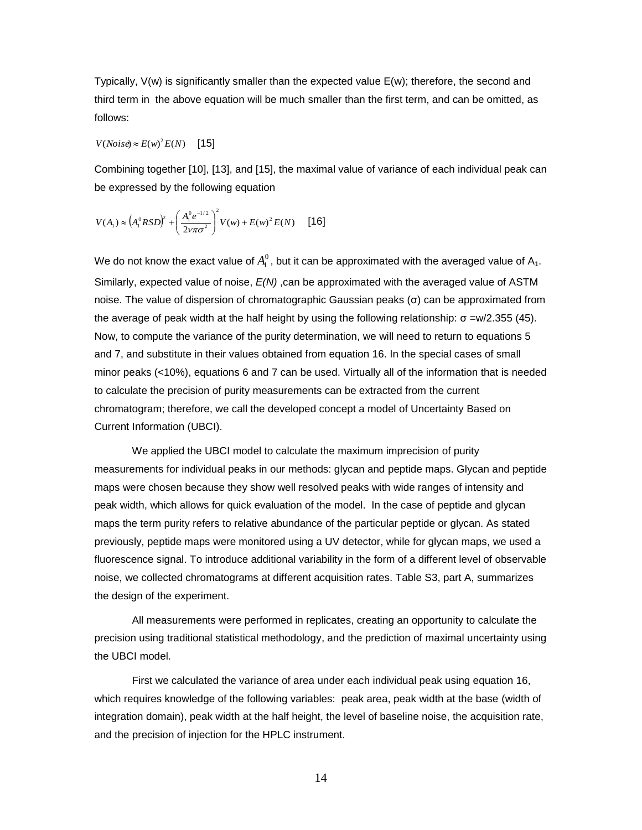Typically, V(w) is significantly smaller than the expected value E(w); therefore, the second and third term in the above equation will be much smaller than the first term, and can be omitted, as follows:

$$
V(Noise) \approx E(w)^2 E(N) \quad [15]
$$

Combining together [10], [13], and [15], the maximal value of variance of each individual peak can be expressed by the following equation

$$
V(A_1) \approx \left(A_1^0 RSD\right)^2 + \left(\frac{A_1^0 e^{-1/2}}{2v\pi\sigma^2}\right)^2 V(w) + E(w)^2 E(N) \quad [16]
$$

We do not know the exact value of  $A^0_{\text{l}}$  , but it can be approximated with the averaged value of  $\mathsf{A}_{\text{1}}$ . Similarly, expected value of noise,  $E(N)$ , can be approximated with the averaged value of ASTM noise. The value of dispersion of chromatographic Gaussian peaks (σ) can be approximated from the average of peak width at the half height by using the following relationship:  $σ = w/2.355(45)$  $σ = w/2.355(45)$ . Now, to compute the variance of the purity determination, we will need to return to equations 5 and 7, and substitute in their values obtained from equation 16. In the special cases of small minor peaks (<10%), equations 6 and 7 can be used. Virtually all of the information that is needed to calculate the precision of purity measurements can be extracted from the current chromatogram; therefore, we call the developed concept a model of Uncertainty Based on Current Information (UBCI).

We applied the UBCI model to calculate the maximum imprecision of purity measurements for individual peaks in our methods: glycan and peptide maps. Glycan and peptide maps were chosen because they show well resolved peaks with wide ranges of intensity and peak width, which allows for quick evaluation of the model. In the case of peptide and glycan maps the term purity refers to relative abundance of the particular peptide or glycan. As stated previously, peptide maps were monitored using a UV detector, while for glycan maps, we used a fluorescence signal. To introduce additional variability in the form of a different level of observable noise, we collected chromatograms at different acquisition rates. Table S3, part A, summarizes the design of the experiment.

All measurements were performed in replicates, creating an opportunity to calculate the precision using traditional statistical methodology, and the prediction of maximal uncertainty using the UBCI model.

First we calculated the variance of area under each individual peak using equation 16, which requires knowledge of the following variables: peak area, peak width at the base (width of integration domain), peak width at the half height, the level of baseline noise, the acquisition rate, and the precision of injection for the HPLC instrument.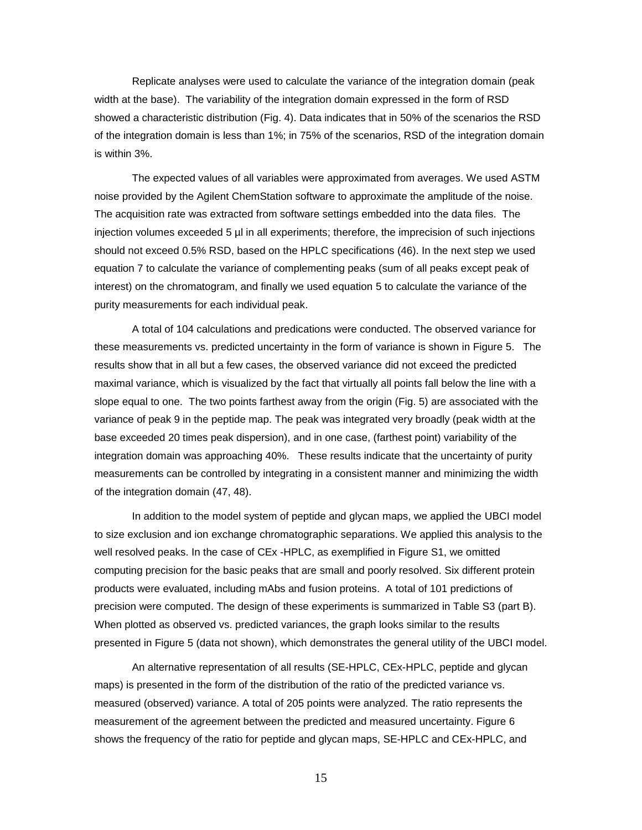Replicate analyses were used to calculate the variance of the integration domain (peak width at the base). The variability of the integration domain expressed in the form of RSD showed a characteristic distribution (Fig. 4). Data indicates that in 50% of the scenarios the RSD of the integration domain is less than 1%; in 75% of the scenarios, RSD of the integration domain is within 3%.

The expected values of all variables were approximated from averages. We used ASTM noise provided by the Agilent ChemStation software to approximate the amplitude of the noise. The acquisition rate was extracted from software settings embedded into the data files. The injection volumes exceeded 5 µl in all experiments; therefore, the imprecision of such injections should not exceed 0.5% RSD, based on the HPLC specifications [\(46\)](#page-23-15). In the next step we used equation 7 to calculate the variance of complementing peaks (sum of all peaks except peak of interest) on the chromatogram, and finally we used equation 5 to calculate the variance of the purity measurements for each individual peak.

A total of 104 calculations and predications were conducted. The observed variance for these measurements vs. predicted uncertainty in the form of variance is shown in Figure 5. The results show that in all but a few cases, the observed variance did not exceed the predicted maximal variance, which is visualized by the fact that virtually all points fall below the line with a slope equal to one. The two points farthest away from the origin (Fig. 5) are associated with the variance of peak 9 in the peptide map. The peak was integrated very broadly (peak width at the base exceeded 20 times peak dispersion), and in one case, (farthest point) variability of the integration domain was approaching 40%. These results indicate that the uncertainty of purity measurements can be controlled by integrating in a consistent manner and minimizing the width of the integration domain [\(47,](#page-23-16) [48\)](#page-23-17).

In addition to the model system of peptide and glycan maps, we applied the UBCI model to size exclusion and ion exchange chromatographic separations. We applied this analysis to the well resolved peaks. In the case of CEx -HPLC, as exemplified in Figure S1, we omitted computing precision for the basic peaks that are small and poorly resolved. Six different protein products were evaluated, including mAbs and fusion proteins. A total of 101 predictions of precision were computed. The design of these experiments is summarized in Table S3 (part B). When plotted as observed vs. predicted variances, the graph looks similar to the results presented in Figure 5 (data not shown), which demonstrates the general utility of the UBCI model.

An alternative representation of all results (SE-HPLC, CEx-HPLC, peptide and glycan maps) is presented in the form of the distribution of the ratio of the predicted variance vs. measured (observed) variance. A total of 205 points were analyzed. The ratio represents the measurement of the agreement between the predicted and measured uncertainty. Figure 6 shows the frequency of the ratio for peptide and glycan maps, SE-HPLC and CEx-HPLC, and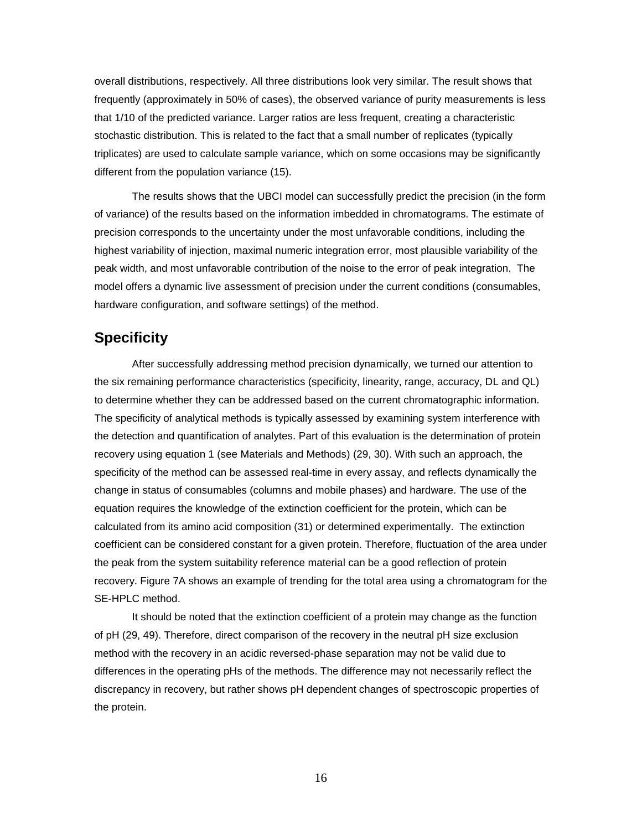overall distributions, respectively. All three distributions look very similar. The result shows that frequently (approximately in 50% of cases), the observed variance of purity measurements is less that 1/10 of the predicted variance. Larger ratios are less frequent, creating a characteristic stochastic distribution. This is related to the fact that a small number of replicates (typically triplicates) are used to calculate sample variance, which on some occasions may be significantly different from the population variance [\(15\)](#page-22-4).

The results shows that the UBCI model can successfully predict the precision (in the form of variance) of the results based on the information imbedded in chromatograms. The estimate of precision corresponds to the uncertainty under the most unfavorable conditions, including the highest variability of injection, maximal numeric integration error, most plausible variability of the peak width, and most unfavorable contribution of the noise to the error of peak integration. The model offers a dynamic live assessment of precision under the current conditions (consumables, hardware configuration, and software settings) of the method.

## **Specificity**

After successfully addressing method precision dynamically, we turned our attention to the six remaining performance characteristics (specificity, linearity, range, accuracy, DL and QL) to determine whether they can be addressed based on the current chromatographic information. The specificity of analytical methods is typically assessed by examining system interference with the detection and quantification of analytes. Part of this evaluation is the determination of protein recovery using equation 1 (see Materials and Methods) [\(29,](#page-23-0) [30\)](#page-23-1). With such an approach, the specificity of the method can be assessed real-time in every assay, and reflects dynamically the change in status of consumables (columns and mobile phases) and hardware. The use of the equation requires the knowledge of the extinction coefficient for the protein, which can be calculated from its amino acid composition [\(31\)](#page-23-2) or determined experimentally. The extinction coefficient can be considered constant for a given protein. Therefore, fluctuation of the area under the peak from the system suitability reference material can be a good reflection of protein recovery. Figure 7A shows an example of trending for the total area using a chromatogram for the SE-HPLC method.

It should be noted that the extinction coefficient of a protein may change as the function of pH [\(29,](#page-23-0) [49\)](#page-23-18). Therefore, direct comparison of the recovery in the neutral pH size exclusion method with the recovery in an acidic reversed-phase separation may not be valid due to differences in the operating pHs of the methods. The difference may not necessarily reflect the discrepancy in recovery, but rather shows pH dependent changes of spectroscopic properties of the protein.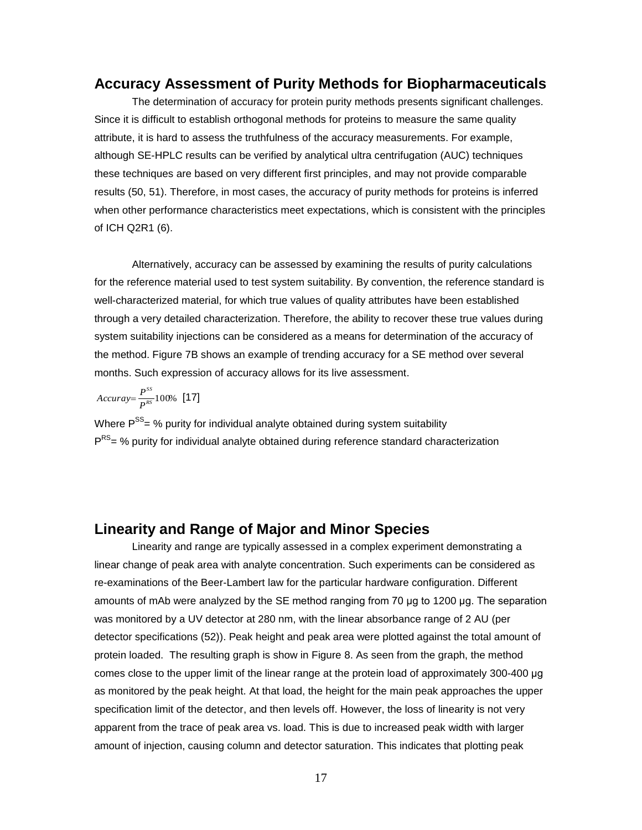### **Accuracy Assessment of Purity Methods for Biopharmaceuticals**

The determination of accuracy for protein purity methods presents significant challenges. Since it is difficult to establish orthogonal methods for proteins to measure the same quality attribute, it is hard to assess the truthfulness of the accuracy measurements. For example, although SE-HPLC results can be verified by analytical ultra centrifugation (AUC) techniques these techniques are based on very different first principles, and may not provide comparable results [\(50,](#page-24-0) [51\)](#page-24-1). Therefore, in most cases, the accuracy of purity methods for proteins is inferred when other performance characteristics meet expectations, which is consistent with the principles of ICH Q2R1 [\(6\)](#page-22-1).

Alternatively, accuracy can be assessed by examining the results of purity calculations for the reference material used to test system suitability. By convention, the reference standard is well-characterized material, for which true values of quality attributes have been established through a very detailed characterization. Therefore, the ability to recover these true values during system suitability injections can be considered as a means for determination of the accuracy of the method. Figure 7B shows an example of trending accuracy for a SE method over several months. Such expression of accuracy allows for its live assessment.

$$
Accuracy = \frac{P^{ss}}{P^{RS}} 100\% \quad [17]
$$

Where P<sup>SS</sup>= % purity for individual analyte obtained during system suitability P<sup>RS</sup>= % purity for individual analyte obtained during reference standard characterization

## **Linearity and Range of Major and Minor Species**

Linearity and range are typically assessed in a complex experiment demonstrating a linear change of peak area with analyte concentration. Such experiments can be considered as re-examinations of the Beer-Lambert law for the particular hardware configuration. Different amounts of mAb were analyzed by the SE method ranging from 70 μg to 1200 μg. The separation was monitored by a UV detector at 280 nm, with the linear absorbance range of 2 AU (per detector specifications [\(52\)](#page-24-2)). Peak height and peak area were plotted against the total amount of protein loaded. The resulting graph is show in Figure 8. As seen from the graph, the method comes close to the upper limit of the linear range at the protein load of approximately 300-400 μg as monitored by the peak height. At that load, the height for the main peak approaches the upper specification limit of the detector, and then levels off. However, the loss of linearity is not very apparent from the trace of peak area vs. load. This is due to increased peak width with larger amount of injection, causing column and detector saturation. This indicates that plotting peak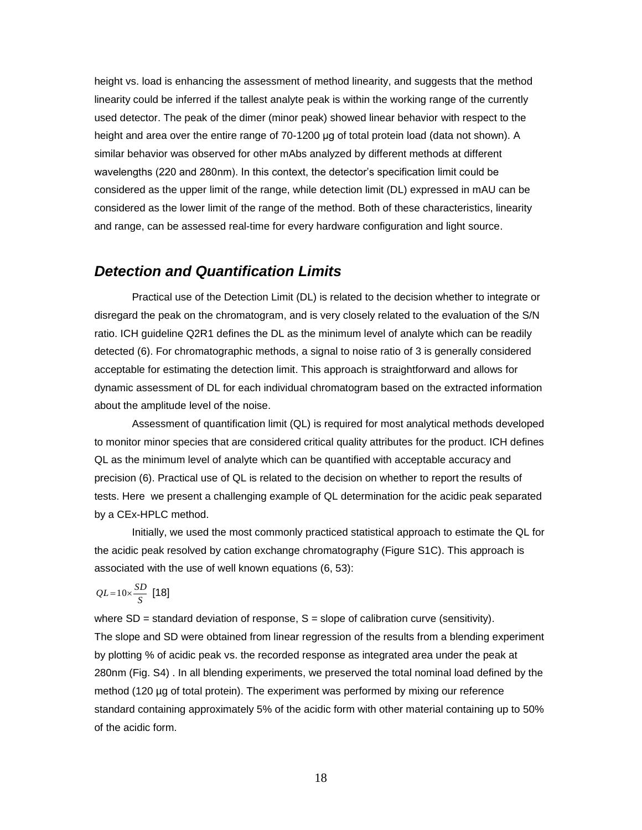height vs. load is enhancing the assessment of method linearity, and suggests that the method linearity could be inferred if the tallest analyte peak is within the working range of the currently used detector. The peak of the dimer (minor peak) showed linear behavior with respect to the height and area over the entire range of 70-1200 μg of total protein load (data not shown). A similar behavior was observed for other mAbs analyzed by different methods at different wavelengths (220 and 280nm). In this context, the detector's specification limit could be considered as the upper limit of the range, while detection limit (DL) expressed in mAU can be considered as the lower limit of the range of the method. Both of these characteristics, linearity and range, can be assessed real-time for every hardware configuration and light source.

### *Detection and Quantification Limits*

Practical use of the Detection Limit (DL) is related to the decision whether to integrate or disregard the peak on the chromatogram, and is very closely related to the evaluation of the S/N ratio. ICH guideline Q2R1 defines the DL as the minimum level of analyte which can be readily detected [\(6\)](#page-22-1). For chromatographic methods, a signal to noise ratio of 3 is generally considered acceptable for estimating the detection limit. This approach is straightforward and allows for dynamic assessment of DL for each individual chromatogram based on the extracted information about the amplitude level of the noise.

Assessment of quantification limit (QL) is required for most analytical methods developed to monitor minor species that are considered critical quality attributes for the product. ICH defines QL as the minimum level of analyte which can be quantified with acceptable accuracy and precision [\(6\)](#page-22-1). Practical use of QL is related to the decision on whether to report the results of tests. Here we present a challenging example of QL determination for the acidic peak separated by a CEx-HPLC method.

Initially, we used the most commonly practiced statistical approach to estimate the QL for the acidic peak resolved by cation exchange chromatography (Figure S1C). This approach is associated with the use of well known equations [\(6,](#page-22-1) [53\)](#page-24-3):

$$
QL = 10 \times \frac{SD}{S} [18]
$$

where  $SD =$  standard deviation of response,  $S =$  slope of calibration curve (sensitivity). The slope and SD were obtained from linear regression of the results from a blending experiment by plotting % of acidic peak vs. the recorded response as integrated area under the peak at 280nm (Fig. S4) . In all blending experiments, we preserved the total nominal load defined by the method (120 µg of total protein). The experiment was performed by mixing our reference standard containing approximately 5% of the acidic form with other material containing up to 50% of the acidic form.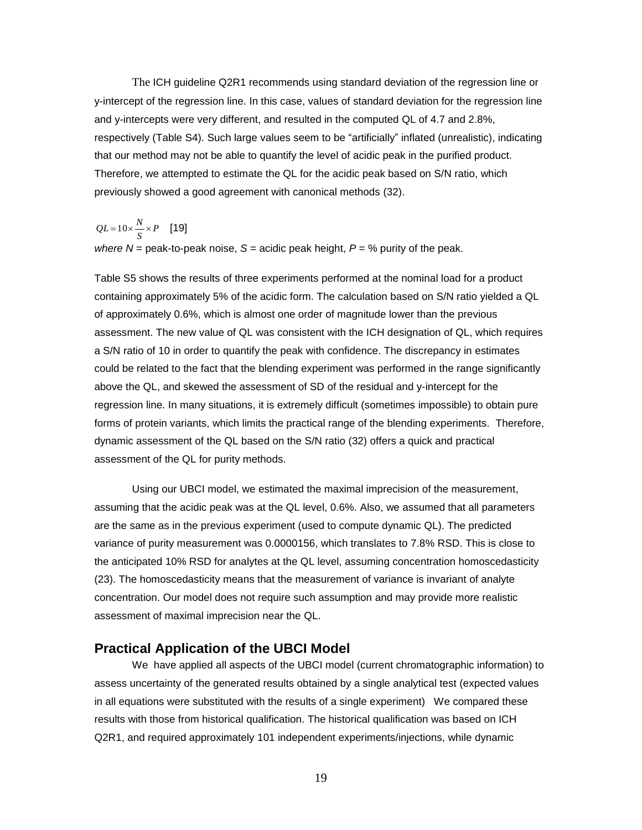The ICH guideline Q2R1 recommends using standard deviation of the regression line or y-intercept of the regression line. In this case, values of standard deviation for the regression line and y-intercepts were very different, and resulted in the computed QL of 4.7 and 2.8%, respectively (Table S4). Such large values seem to be "artificially" inflated (unrealistic), indicating that our method may not be able to quantify the level of acidic peak in the purified product. Therefore, we attempted to estimate the QL for the acidic peak based on S/N ratio, which previously showed a good agreement with canonical methods [\(32\)](#page-23-3).

$$
QL = 10 \times \frac{N}{S} \times P \quad [19]
$$

*where N* = peak-to-peak noise,  $S$  = acidic peak height,  $P$  = % purity of the peak.

Table S5 shows the results of three experiments performed at the nominal load for a product containing approximately 5% of the acidic form. The calculation based on S/N ratio yielded a QL of approximately 0.6%, which is almost one order of magnitude lower than the previous assessment. The new value of QL was consistent with the ICH designation of QL, which requires a S/N ratio of 10 in order to quantify the peak with confidence. The discrepancy in estimates could be related to the fact that the blending experiment was performed in the range significantly above the QL, and skewed the assessment of SD of the residual and y-intercept for the regression line. In many situations, it is extremely difficult (sometimes impossible) to obtain pure forms of protein variants, which limits the practical range of the blending experiments. Therefore, dynamic assessment of the QL based on the S/N ratio [\(32\)](#page-23-3) offers a quick and practical assessment of the QL for purity methods.

Using our UBCI model, we estimated the maximal imprecision of the measurement, assuming that the acidic peak was at the QL level, 0.6%. Also, we assumed that all parameters are the same as in the previous experiment (used to compute dynamic QL). The predicted variance of purity measurement was 0.0000156, which translates to 7.8% RSD. This is close to the anticipated 10% RSD for analytes at the QL level, assuming concentration homoscedasticity [\(23\)](#page-22-14). The homoscedasticity means that the measurement of variance is invariant of analyte concentration. Our model does not require such assumption and may provide more realistic assessment of maximal imprecision near the QL.

### **Practical Application of the UBCI Model**

We have applied all aspects of the UBCI model (current chromatographic information) to assess uncertainty of the generated results obtained by a single analytical test (expected values in all equations were substituted with the results of a single experiment) We compared these results with those from historical qualification. The historical qualification was based on ICH Q2R1, and required approximately 101 independent experiments/injections, while dynamic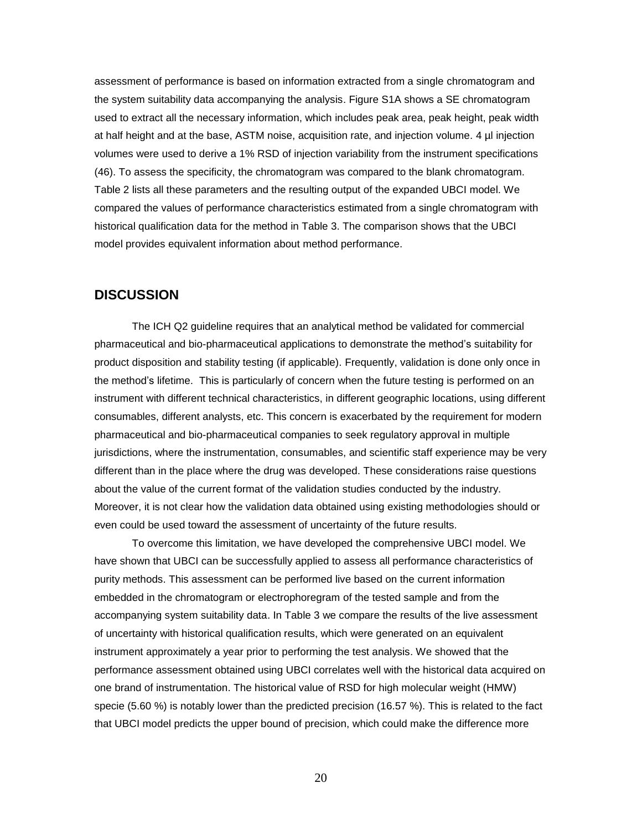assessment of performance is based on information extracted from a single chromatogram and the system suitability data accompanying the analysis. Figure S1A shows a SE chromatogram used to extract all the necessary information, which includes peak area, peak height, peak width at half height and at the base, ASTM noise, acquisition rate, and injection volume. 4 µl injection volumes were used to derive a 1% RSD of injection variability from the instrument specifications [\(46\)](#page-23-15). To assess the specificity, the chromatogram was compared to the blank chromatogram. Table 2 lists all these parameters and the resulting output of the expanded UBCI model. We compared the values of performance characteristics estimated from a single chromatogram with historical qualification data for the method in Table 3. The comparison shows that the UBCI model provides equivalent information about method performance.

### **DISCUSSION**

The ICH Q2 guideline requires that an analytical method be validated for commercial pharmaceutical and bio-pharmaceutical applications to demonstrate the method's suitability for product disposition and stability testing (if applicable). Frequently, validation is done only once in the method's lifetime. This is particularly of concern when the future testing is performed on an instrument with different technical characteristics, in different geographic locations, using different consumables, different analysts, etc. This concern is exacerbated by the requirement for modern pharmaceutical and bio-pharmaceutical companies to seek regulatory approval in multiple jurisdictions, where the instrumentation, consumables, and scientific staff experience may be very different than in the place where the drug was developed. These considerations raise questions about the value of the current format of the validation studies conducted by the industry. Moreover, it is not clear how the validation data obtained using existing methodologies should or even could be used toward the assessment of uncertainty of the future results.

To overcome this limitation, we have developed the comprehensive UBCI model. We have shown that UBCI can be successfully applied to assess all performance characteristics of purity methods. This assessment can be performed live based on the current information embedded in the chromatogram or electrophoregram of the tested sample and from the accompanying system suitability data. In Table 3 we compare the results of the live assessment of uncertainty with historical qualification results, which were generated on an equivalent instrument approximately a year prior to performing the test analysis. We showed that the performance assessment obtained using UBCI correlates well with the historical data acquired on one brand of instrumentation. The historical value of RSD for high molecular weight (HMW) specie (5.60 %) is notably lower than the predicted precision (16.57 %). This is related to the fact that UBCI model predicts the upper bound of precision, which could make the difference more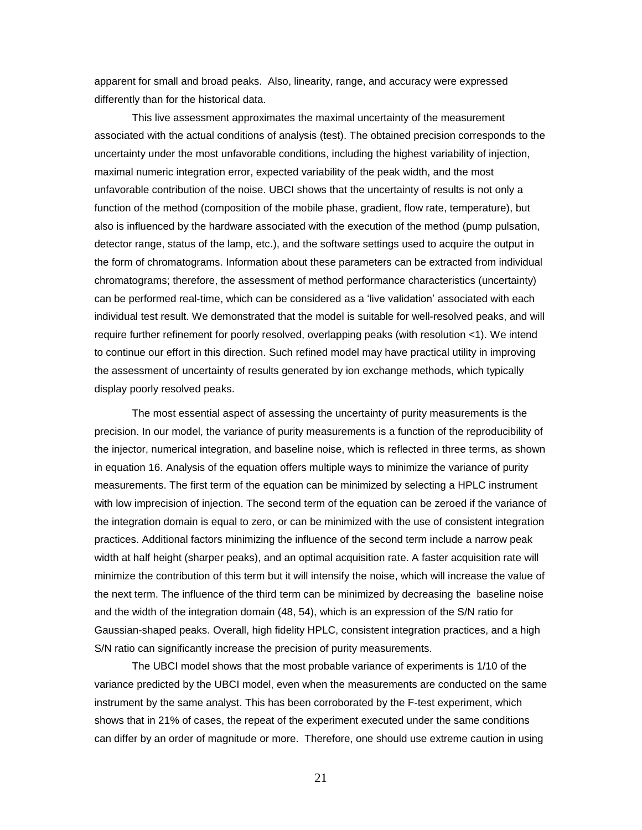apparent for small and broad peaks. Also, linearity, range, and accuracy were expressed differently than for the historical data.

This live assessment approximates the maximal uncertainty of the measurement associated with the actual conditions of analysis (test). The obtained precision corresponds to the uncertainty under the most unfavorable conditions, including the highest variability of injection, maximal numeric integration error, expected variability of the peak width, and the most unfavorable contribution of the noise. UBCI shows that the uncertainty of results is not only a function of the method (composition of the mobile phase, gradient, flow rate, temperature), but also is influenced by the hardware associated with the execution of the method (pump pulsation, detector range, status of the lamp, etc.), and the software settings used to acquire the output in the form of chromatograms. Information about these parameters can be extracted from individual chromatograms; therefore, the assessment of method performance characteristics (uncertainty) can be performed real-time, which can be considered as a 'live validation' associated with each individual test result. We demonstrated that the model is suitable for well-resolved peaks, and will require further refinement for poorly resolved, overlapping peaks (with resolution <1). We intend to continue our effort in this direction. Such refined model may have practical utility in improving the assessment of uncertainty of results generated by ion exchange methods, which typically display poorly resolved peaks.

The most essential aspect of assessing the uncertainty of purity measurements is the precision. In our model, the variance of purity measurements is a function of the reproducibility of the injector, numerical integration, and baseline noise, which is reflected in three terms, as shown in equation 16. Analysis of the equation offers multiple ways to minimize the variance of purity measurements. The first term of the equation can be minimized by selecting a HPLC instrument with low imprecision of injection. The second term of the equation can be zeroed if the variance of the integration domain is equal to zero, or can be minimized with the use of consistent integration practices. Additional factors minimizing the influence of the second term include a narrow peak width at half height (sharper peaks), and an optimal acquisition rate. A faster acquisition rate will minimize the contribution of this term but it will intensify the noise, which will increase the value of the next term. The influence of the third term can be minimized by decreasing the baseline noise and the width of the integration domain [\(48,](#page-23-17) [54\)](#page-24-4), which is an expression of the S/N ratio for Gaussian-shaped peaks. Overall, high fidelity HPLC, consistent integration practices, and a high S/N ratio can significantly increase the precision of purity measurements.

The UBCI model shows that the most probable variance of experiments is 1/10 of the variance predicted by the UBCI model, even when the measurements are conducted on the same instrument by the same analyst. This has been corroborated by the F-test experiment, which shows that in 21% of cases, the repeat of the experiment executed under the same conditions can differ by an order of magnitude or more. Therefore, one should use extreme caution in using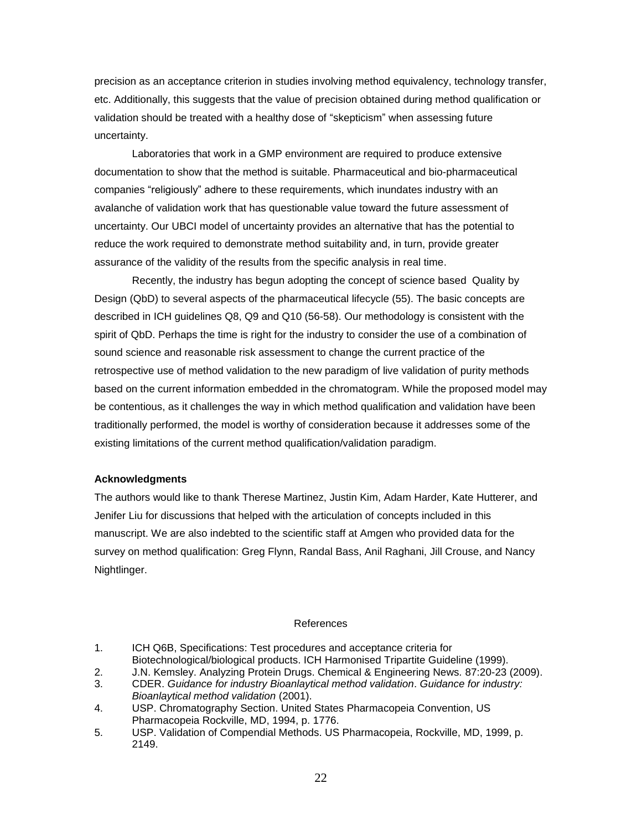precision as an acceptance criterion in studies involving method equivalency, technology transfer, etc. Additionally, this suggests that the value of precision obtained during method qualification or validation should be treated with a healthy dose of "skepticism" when assessing future uncertainty.

Laboratories that work in a GMP environment are required to produce extensive documentation to show that the method is suitable. Pharmaceutical and bio-pharmaceutical companies "religiously" adhere to these requirements, which inundates industry with an avalanche of validation work that has questionable value toward the future assessment of uncertainty. Our UBCI model of uncertainty provides an alternative that has the potential to reduce the work required to demonstrate method suitability and, in turn, provide greater assurance of the validity of the results from the specific analysis in real time.

Recently, the industry has begun adopting the concept of science based Quality by Design (QbD) to several aspects of the pharmaceutical lifecycle [\(55\)](#page-24-5). The basic concepts are described in ICH guidelines Q8, Q9 and Q10 [\(56-58\)](#page-24-6). Our methodology is consistent with the spirit of QbD. Perhaps the time is right for the industry to consider the use of a combination of sound science and reasonable risk assessment to change the current practice of the retrospective use of method validation to the new paradigm of live validation of purity methods based on the current information embedded in the chromatogram. While the proposed model may be contentious, as it challenges the way in which method qualification and validation have been traditionally performed, the model is worthy of consideration because it addresses some of the existing limitations of the current method qualification/validation paradigm.

#### **Acknowledgments**

The authors would like to thank Therese Martinez, Justin Kim, Adam Harder, Kate Hutterer, and Jenifer Liu for discussions that helped with the articulation of concepts included in this manuscript. We are also indebted to the scientific staff at Amgen who provided data for the survey on method qualification: Greg Flynn, Randal Bass, Anil Raghani, Jill Crouse, and Nancy Nightlinger.

#### References

- <span id="page-21-0"></span>1. ICH Q6B, Specifications: Test procedures and acceptance criteria for Biotechnological/biological products. ICH Harmonised Tripartite Guideline (1999).
- <span id="page-21-1"></span>2. J.N. Kemsley. Analyzing Protein Drugs. Chemical & Engineering News*.* 87:20-23 (2009).
- <span id="page-21-2"></span>3. CDER. *Guidance for industry Bioanlaytical method validation*. *Guidance for industry: Bioanlaytical method validation* (2001).
- <span id="page-21-3"></span>4. USP. Chromatography Section. United States Pharmacopeia Convention, US Pharmacopeia Rockville, MD, 1994, p. 1776.
- 5. USP. Validation of Compendial Methods. US Pharmacopeia, Rockville, MD, 1999, p. 2149.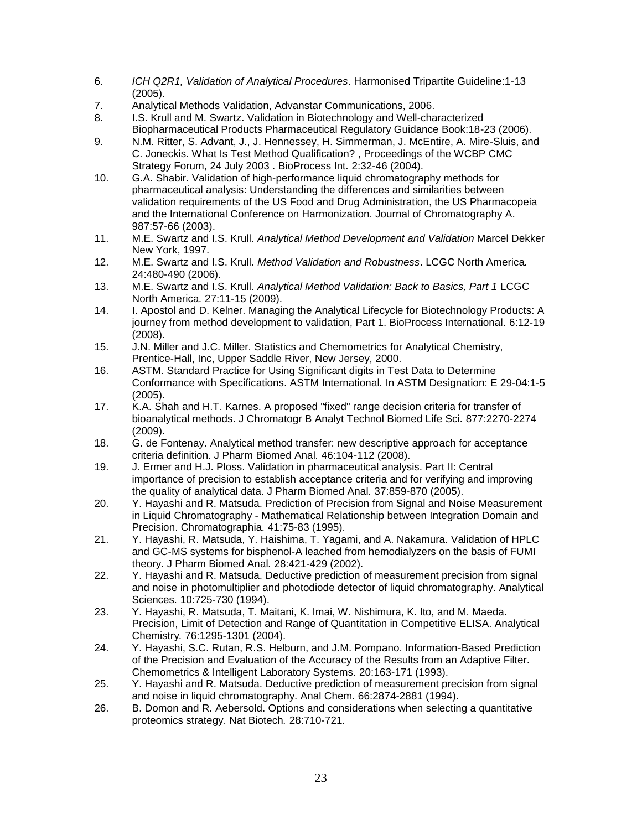- <span id="page-22-1"></span>6. *ICH Q2R1, Validation of Analytical Procedures*. Harmonised Tripartite Guideline:1-13 (2005).
- <span id="page-22-0"></span>7. Analytical Methods Validation, Advanstar Communications, 2006.
- 8. I.S. Krull and M. Swartz. Validation in Biotechnology and Well-characterized Biopharmaceutical Products Pharmaceutical Regulatory Guidance Book:18-23 (2006).
- <span id="page-22-2"></span>9. N.M. Ritter, S. Advant, J., J. Hennessey, H. Simmerman, J. McEntire, A. Mire-Sluis, and C. Joneckis. What Is Test Method Qualification? , Proceedings of the WCBP CMC Strategy Forum, 24 July 2003 . BioProcess Int*.* 2:32-46 (2004).
- 10. G.A. Shabir. Validation of high-performance liquid chromatography methods for pharmaceutical analysis: Understanding the differences and similarities between validation requirements of the US Food and Drug Administration, the US Pharmacopeia and the International Conference on Harmonization. Journal of Chromatography A*.* 987:57-66 (2003).
- 11. M.E. Swartz and I.S. Krull. *Analytical Method Development and Validation* Marcel Dekker New York, 1997.
- <span id="page-22-7"></span>12. M.E. Swartz and I.S. Krull. *Method Validation and Robustness*. LCGC North America*.* 24:480-490 (2006).
- 13. M.E. Swartz and I.S. Krull. *Analytical Method Validation: Back to Basics, Part 1* LCGC North America*.* 27:11-15 (2009).
- <span id="page-22-3"></span>14. I. Apostol and D. Kelner. Managing the Analytical Lifecycle for Biotechnology Products: A journey from method development to validation, Part 1. BioProcess International*.* 6:12-19 (2008).
- <span id="page-22-4"></span>15. J.N. Miller and J.C. Miller. Statistics and Chemometrics for Analytical Chemistry, Prentice-Hall, Inc, Upper Saddle River, New Jersey, 2000.
- <span id="page-22-5"></span>16. ASTM. Standard Practice for Using Significant digits in Test Data to Determine Conformance with Specifications. ASTM International*.* In ASTM Designation: E 29-04:1-5 (2005).
- <span id="page-22-6"></span>17. K.A. Shah and H.T. Karnes. A proposed "fixed" range decision criteria for transfer of bioanalytical methods. J Chromatogr B Analyt Technol Biomed Life Sci*.* 877:2270-2274 (2009).
- <span id="page-22-8"></span>18. G. de Fontenay. Analytical method transfer: new descriptive approach for acceptance criteria definition. J Pharm Biomed Anal*.* 46:104-112 (2008).
- <span id="page-22-9"></span>19. J. Ermer and H.J. Ploss. Validation in pharmaceutical analysis. Part II: Central importance of precision to establish acceptance criteria and for verifying and improving the quality of analytical data. J Pharm Biomed Anal*.* 37:859-870 (2005).
- <span id="page-22-10"></span>20. Y. Hayashi and R. Matsuda. Prediction of Precision from Signal and Noise Measurement in Liquid Chromatography - Mathematical Relationship between Integration Domain and Precision. Chromatographia*.* 41:75-83 (1995).
- 21. Y. Hayashi, R. Matsuda, Y. Haishima, T. Yagami, and A. Nakamura. Validation of HPLC and GC-MS systems for bisphenol-A leached from hemodialyzers on the basis of FUMI theory. J Pharm Biomed Anal*.* 28:421-429 (2002).
- <span id="page-22-12"></span>22. Y. Hayashi and R. Matsuda. Deductive prediction of measurement precision from signal and noise in photomultiplier and photodiode detector of liquid chromatography. Analytical Sciences*.* 10:725-730 (1994).
- <span id="page-22-14"></span>23. Y. Hayashi, R. Matsuda, T. Maitani, K. Imai, W. Nishimura, K. Ito, and M. Maeda. Precision, Limit of Detection and Range of Quantitation in Competitive ELISA. Analytical Chemistry*.* 76:1295-1301 (2004).
- 24. Y. Hayashi, S.C. Rutan, R.S. Helburn, and J.M. Pompano. Information-Based Prediction of the Precision and Evaluation of the Accuracy of the Results from an Adaptive Filter. Chemometrics & Intelligent Laboratory Systems*.* 20:163-171 (1993).
- <span id="page-22-13"></span>25. Y. Hayashi and R. Matsuda. Deductive prediction of measurement precision from signal and noise in liquid chromatography. Anal Chem*.* 66:2874-2881 (1994).
- <span id="page-22-11"></span>26. B. Domon and R. Aebersold. Options and considerations when selecting a quantitative proteomics strategy. Nat Biotech*.* 28:710-721.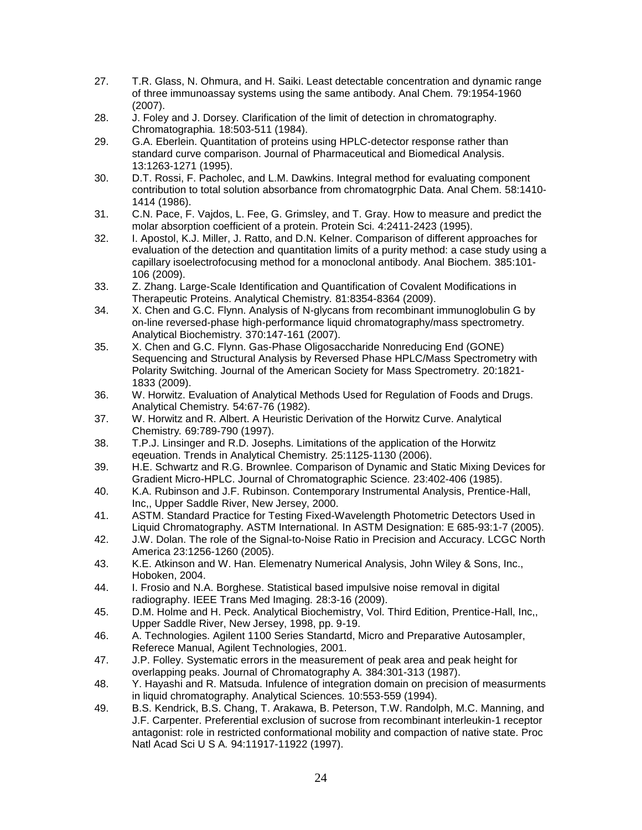- 27. T.R. Glass, N. Ohmura, and H. Saiki. Least detectable concentration and dynamic range of three immunoassay systems using the same antibody. Anal Chem*.* 79:1954-1960 (2007).
- 28. J. Foley and J. Dorsey. Clarification of the limit of detection in chromatography. Chromatographia*.* 18:503-511 (1984).
- <span id="page-23-0"></span>29. G.A. Eberlein. Quantitation of proteins using HPLC-detector response rather than standard curve comparison. Journal of Pharmaceutical and Biomedical Analysis*.* 13:1263-1271 (1995).
- <span id="page-23-1"></span>30. D.T. Rossi, F. Pacholec, and L.M. Dawkins. Integral method for evaluating component contribution to total solution absorbance from chromatogrphic Data. Anal Chem*.* 58:1410- 1414 (1986).
- <span id="page-23-2"></span>31. C.N. Pace, F. Vajdos, L. Fee, G. Grimsley, and T. Gray. How to measure and predict the molar absorption coefficient of a protein. Protein Sci*.* 4:2411-2423 (1995).
- <span id="page-23-3"></span>32. I. Apostol, K.J. Miller, J. Ratto, and D.N. Kelner. Comparison of different approaches for evaluation of the detection and quantitation limits of a purity method: a case study using a capillary isoelectrofocusing method for a monoclonal antibody. Anal Biochem*.* 385:101- 106 (2009).
- <span id="page-23-4"></span>33. Z. Zhang. Large-Scale Identification and Quantification of Covalent Modifications in Therapeutic Proteins. Analytical Chemistry*.* 81:8354-8364 (2009).
- 34. X. Chen and G.C. Flynn. Analysis of N-glycans from recombinant immunoglobulin G by on-line reversed-phase high-performance liquid chromatography/mass spectrometry. Analytical Biochemistry*.* 370:147-161 (2007).
- 35. X. Chen and G.C. Flynn. Gas-Phase Oligosaccharide Nonreducing End (GONE) Sequencing and Structural Analysis by Reversed Phase HPLC/Mass Spectrometry with Polarity Switching. Journal of the American Society for Mass Spectrometry*.* 20:1821- 1833 (2009).
- <span id="page-23-5"></span>36. W. Horwitz. Evaluation of Analytical Methods Used for Regulation of Foods and Drugs. Analytical Chemistry*.* 54:67-76 (1982).
- <span id="page-23-6"></span>37. W. Horwitz and R. Albert. A Heuristic Derivation of the Horwitz Curve. Analytical Chemistry*.* 69:789-790 (1997).
- <span id="page-23-7"></span>38. T.P.J. Linsinger and R.D. Josephs. Limitations of the application of the Horwitz eqeuation. Trends in Analytical Chemistry*.* 25:1125-1130 (2006).
- <span id="page-23-8"></span>39. H.E. Schwartz and R.G. Brownlee. Comparison of Dynamic and Static Mixing Devices for Gradient Micro-HPLC. Journal of Chromatographic Science*.* 23:402-406 (1985).
- <span id="page-23-9"></span>40. K.A. Rubinson and J.F. Rubinson. Contemporary Instrumental Analysis, Prentice-Hall, Inc,, Upper Saddle River, New Jersey, 2000.
- <span id="page-23-10"></span>41. ASTM. Standard Practice for Testing Fixed-Wavelength Photometric Detectors Used in Liquid Chromatography. ASTM International*.* In ASTM Designation: E 685-93:1-7 (2005).
- <span id="page-23-11"></span>42. J.W. Dolan. The role of the Signal-to-Noise Ratio in Precision and Accuracy. LCGC North America 23:1256-1260 (2005).
- <span id="page-23-12"></span>43. K.E. Atkinson and W. Han. Elemenatry Numerical Analysis, John Wiley & Sons, Inc., Hoboken, 2004.
- <span id="page-23-13"></span>44. I. Frosio and N.A. Borghese. Statistical based impulsive noise removal in digital radiography. IEEE Trans Med Imaging*.* 28:3-16 (2009).
- <span id="page-23-14"></span>45. D.M. Holme and H. Peck. Analytical Biochemistry, Vol. Third Edition, Prentice-Hall, Inc,, Upper Saddle River, New Jersey, 1998, pp. 9-19.
- <span id="page-23-15"></span>46. A. Technologies. Agilent 1100 Series Standartd, Micro and Preparative Autosampler, Referece Manual, Agilent Technologies, 2001.
- <span id="page-23-16"></span>47. J.P. Folley. Systematic errors in the measurement of peak area and peak height for overlapping peaks. Journal of Chromatography A*.* 384:301-313 (1987).
- <span id="page-23-17"></span>48. Y. Hayashi and R. Matsuda. Infulence of integration domain on precision of measurments in liquid chromatography. Analytical Sciences*.* 10:553-559 (1994).
- <span id="page-23-18"></span>49. B.S. Kendrick, B.S. Chang, T. Arakawa, B. Peterson, T.W. Randolph, M.C. Manning, and J.F. Carpenter. Preferential exclusion of sucrose from recombinant interleukin-1 receptor antagonist: role in restricted conformational mobility and compaction of native state. Proc Natl Acad Sci U S A*.* 94:11917-11922 (1997).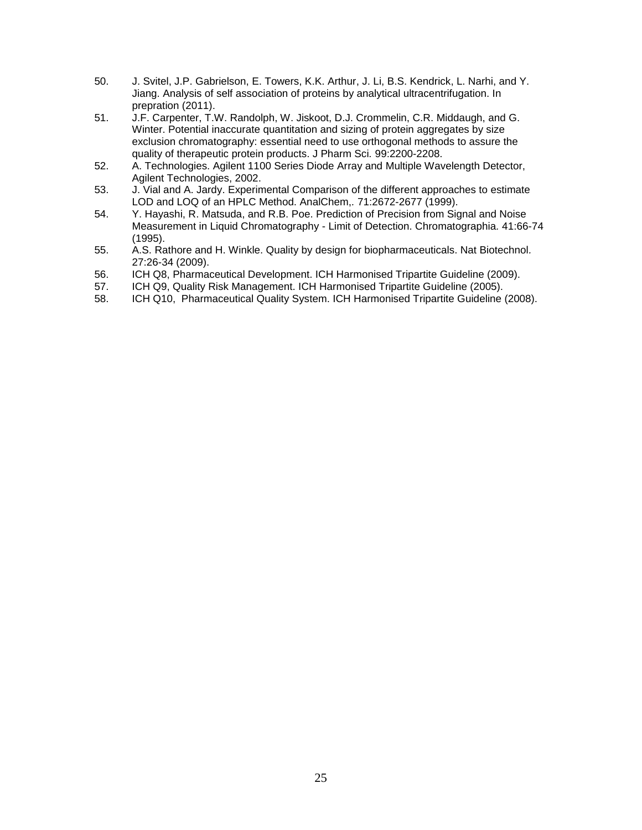- <span id="page-24-0"></span>50. J. Svitel, J.P. Gabrielson, E. Towers, K.K. Arthur, J. Li, B.S. Kendrick, L. Narhi, and Y. Jiang. Analysis of self association of proteins by analytical ultracentrifugation. In prepration (2011).
- <span id="page-24-1"></span>51. J.F. Carpenter, T.W. Randolph, W. Jiskoot, D.J. Crommelin, C.R. Middaugh, and G. Winter. Potential inaccurate quantitation and sizing of protein aggregates by size exclusion chromatography: essential need to use orthogonal methods to assure the quality of therapeutic protein products. J Pharm Sci*.* 99:2200-2208.
- <span id="page-24-2"></span>52. A. Technologies. Agilent 1100 Series Diode Array and Multiple Wavelength Detector, Agilent Technologies, 2002.
- <span id="page-24-3"></span>53. J. Vial and A. Jardy. Experimental Comparison of the different approaches to estimate LOD and LOQ of an HPLC Method. AnalChem,*.* 71:2672-2677 (1999).
- <span id="page-24-4"></span>54. Y. Hayashi, R. Matsuda, and R.B. Poe. Prediction of Precision from Signal and Noise Measurement in Liquid Chromatography - Limit of Detection. Chromatographia*.* 41:66-74 (1995).
- <span id="page-24-5"></span>55. A.S. Rathore and H. Winkle. Quality by design for biopharmaceuticals. Nat Biotechnol*.* 27:26-34 (2009).
- <span id="page-24-6"></span>56. ICH Q8, Pharmaceutical Development. ICH Harmonised Tripartite Guideline (2009).
- 57. ICH Q9, Quality Risk Management. ICH Harmonised Tripartite Guideline (2005).
- 58. ICH Q10, Pharmaceutical Quality System. ICH Harmonised Tripartite Guideline (2008).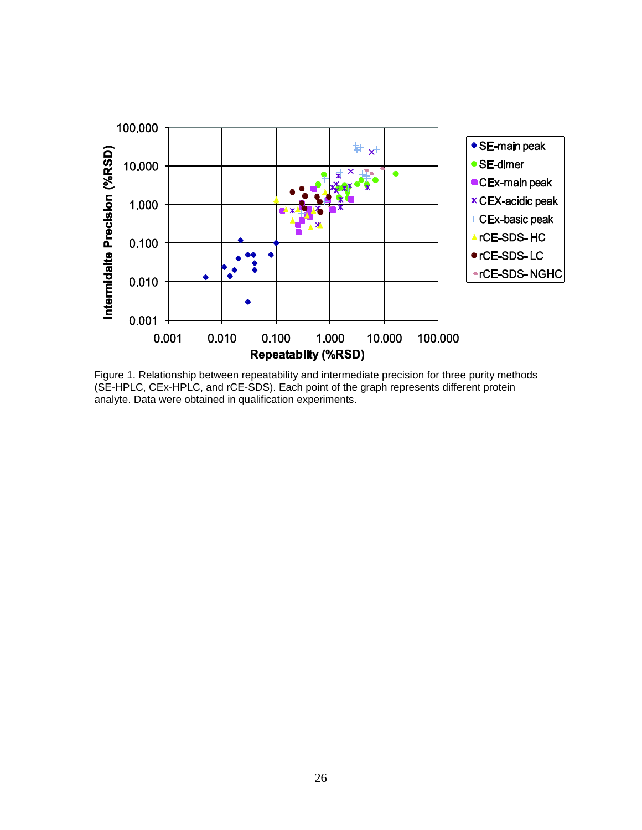

Figure 1. Relationship between repeatability and intermediate precision for three purity methods (SE-HPLC, CEx-HPLC, and rCE-SDS). Each point of the graph represents different protein analyte. Data were obtained in qualification experiments.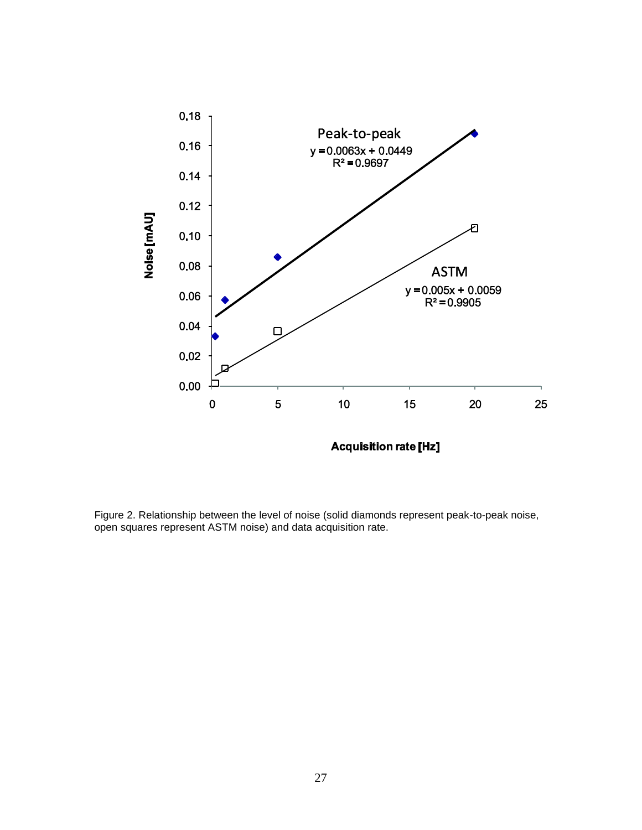

Figure 2. Relationship between the level of noise (solid diamonds represent peak-to-peak noise, open squares represent ASTM noise) and data acquisition rate.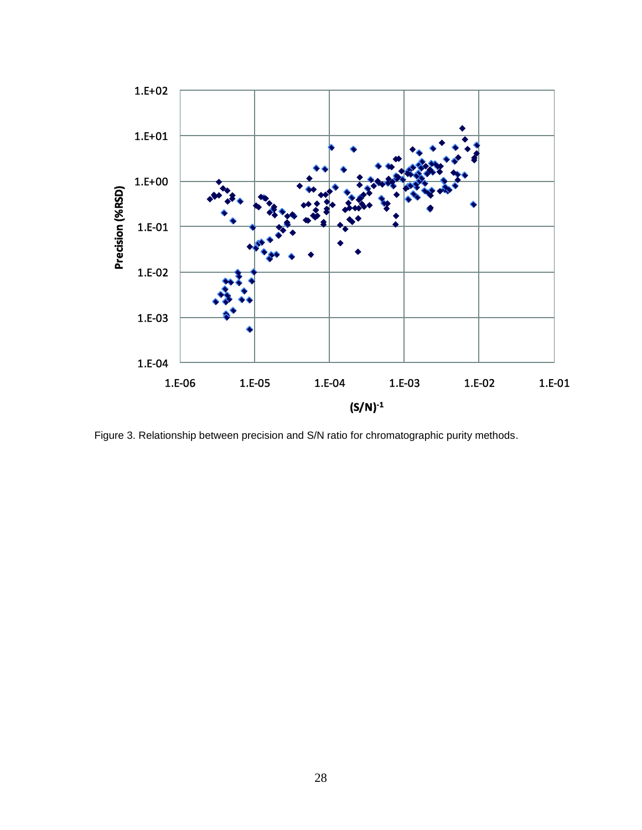

Figure 3. Relationship between precision and S/N ratio for chromatographic purity methods.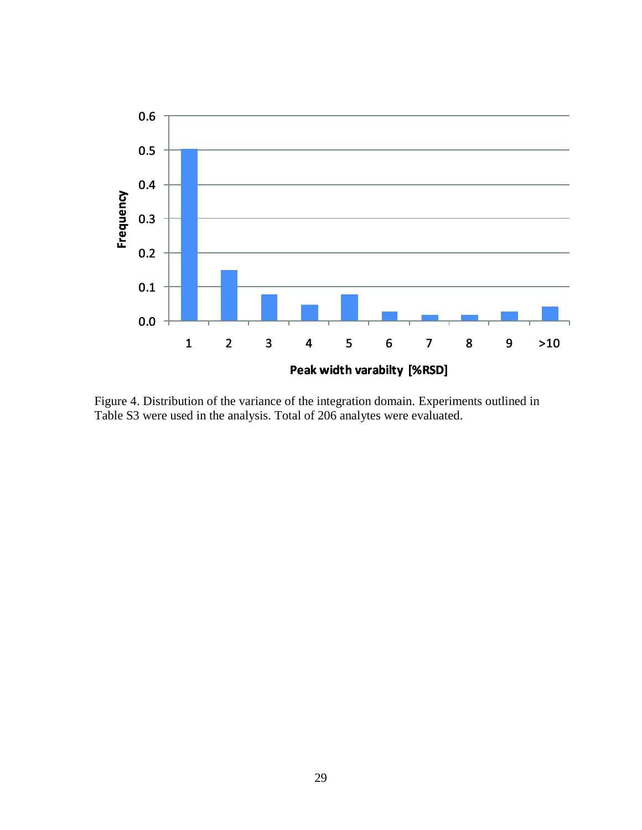

Figure 4. Distribution of the variance of the integration domain. Experiments outlined in Table S3 were used in the analysis. Total of 206 analytes were evaluated.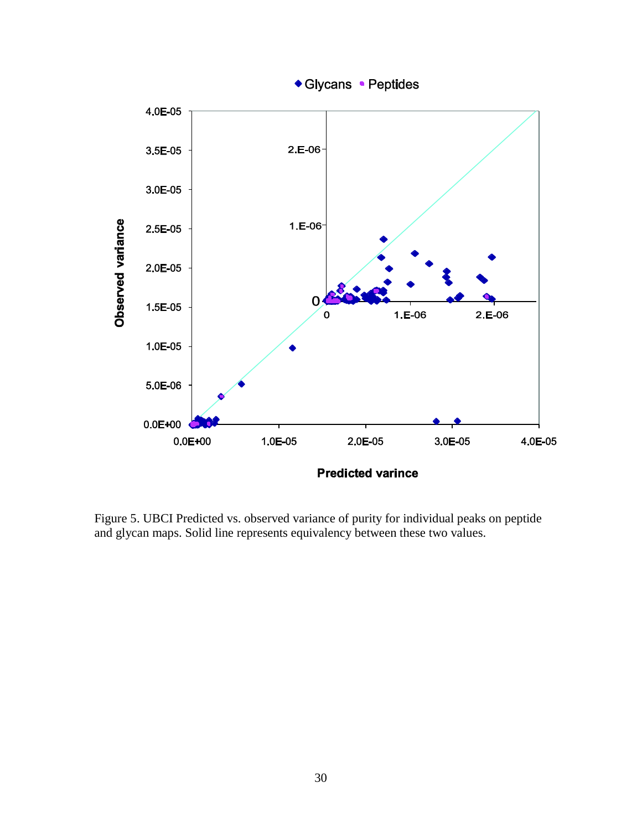

Figure 5. UBCI Predicted vs. observed variance of purity for individual peaks on peptide and glycan maps. Solid line represents equivalency between these two values.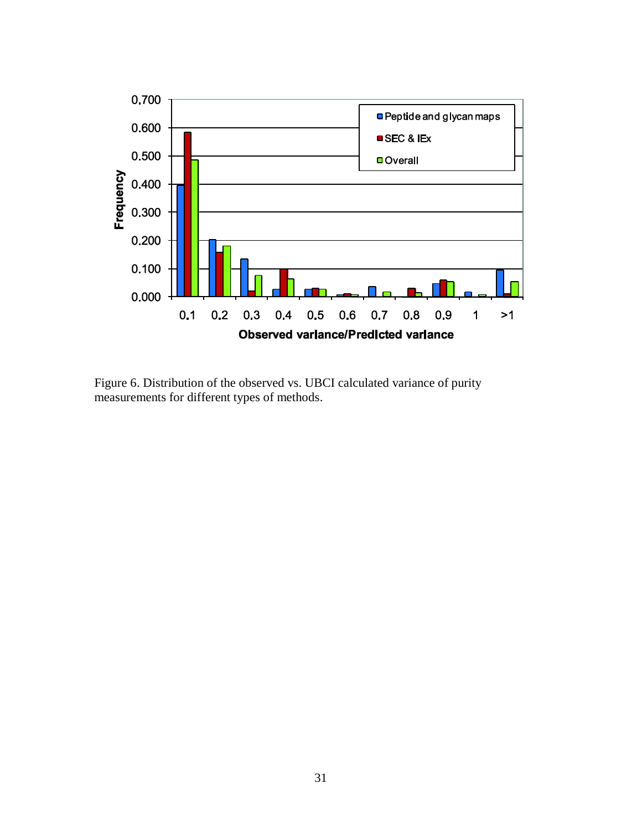

Figure 6. Distribution of the observed vs. UBCI calculated variance of purity measurements for different types of methods.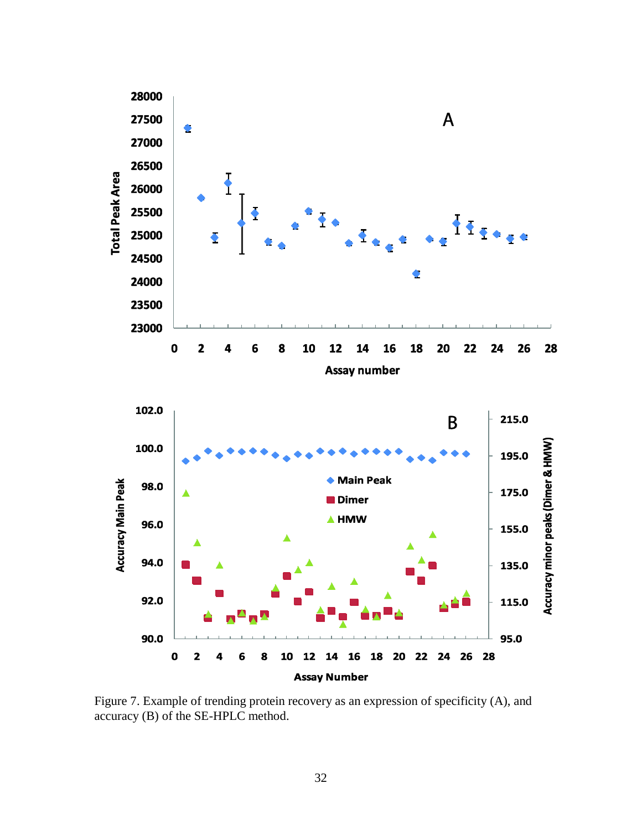

Figure 7. Example of trending protein recovery as an expression of specificity (A), and accuracy (B) of the SE-HPLC method.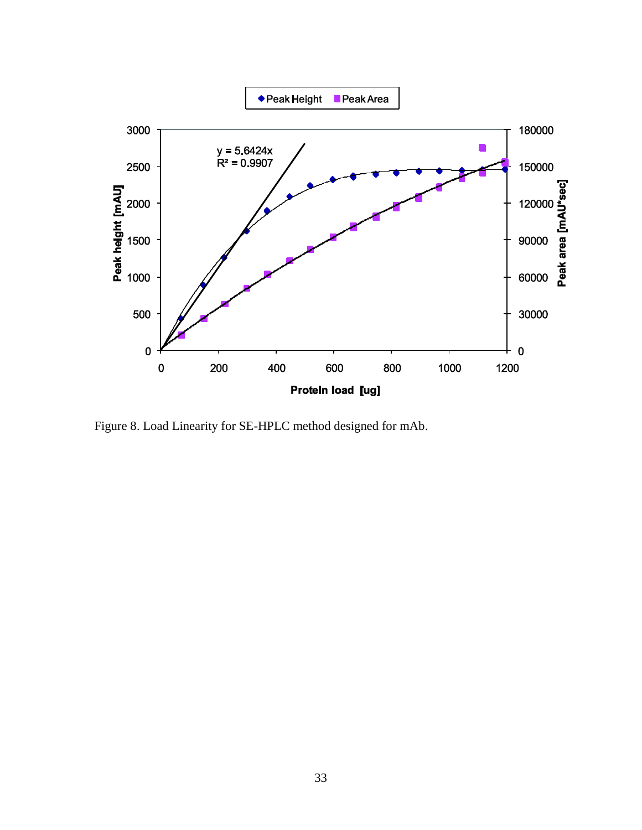

Figure 8. Load Linearity for SE-HPLC method designed for mAb.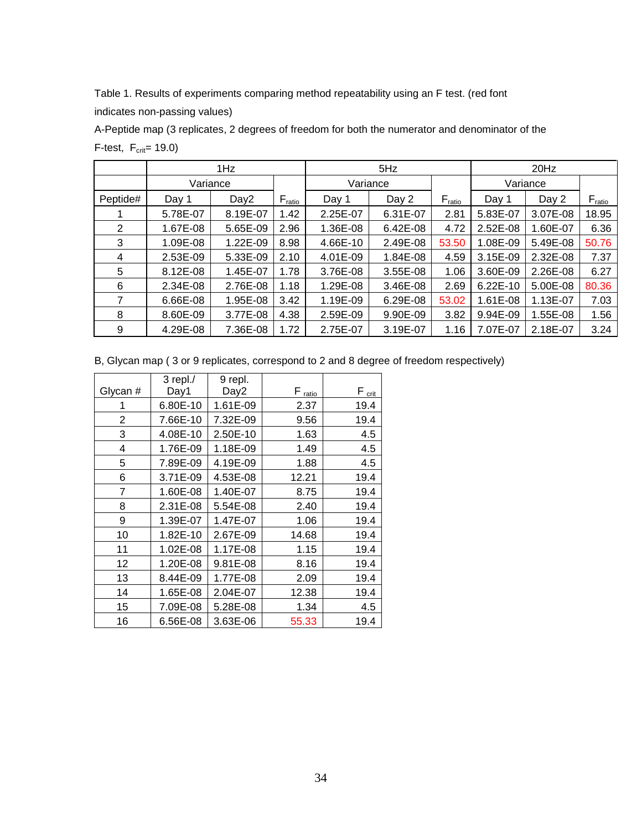Table 1. Results of experiments comparing method repeatability using an F test. (red font indicates non-passing values)

A-Peptide map (3 replicates, 2 degrees of freedom for both the numerator and denominator of the F-test,  $F_{\text{crit}}$ = 19.0)

|          | 1Hz      |                  |             | 5Hz      |          |                    | 20Hz     |          |             |
|----------|----------|------------------|-------------|----------|----------|--------------------|----------|----------|-------------|
|          | Variance |                  |             | Variance |          |                    | Variance |          |             |
| Peptide# | Day 1    | Day <sub>2</sub> | $F_{ratio}$ | Day 1    | Day 2    | $F_{\text{ratio}}$ | Day 1    | Day 2    | $F_{ratio}$ |
|          | 5.78E-07 | 8.19E-07         | 1.42        | 2.25E-07 | 6.31E-07 | 2.81               | 5.83E-07 | 3.07E-08 | 18.95       |
| 2        | 1.67E-08 | 5.65E-09         | 2.96        | 1.36E-08 | 6.42E-08 | 4.72               | 2.52E-08 | 1.60E-07 | 6.36        |
| 3        | 1.09E-08 | 1.22E-09         | 8.98        | 4.66E-10 | 2.49E-08 | 53.50              | 1.08E-09 | 5.49E-08 | 50.76       |
| 4        | 2.53E-09 | 5.33E-09         | 2.10        | 4.01E-09 | 1.84E-08 | 4.59               | 3.15E-09 | 2.32E-08 | 7.37        |
| 5        | 8.12E-08 | 1.45E-07         | 1.78        | 3.76E-08 | 3.55E-08 | 1.06               | 3.60E-09 | 2.26E-08 | 6.27        |
| 6        | 2.34E-08 | 2.76E-08         | 1.18        | 1.29E-08 | 3.46E-08 | 2.69               | 6.22E-10 | 5.00E-08 | 80.36       |
| 7        | 6.66E-08 | 1.95E-08         | 3.42        | 1.19E-09 | 6.29E-08 | 53.02              | 1.61E-08 | 1.13E-07 | 7.03        |
| 8        | 8.60E-09 | 3.77E-08         | 4.38        | 2.59E-09 | 9.90E-09 | 3.82               | 9.94E-09 | 1.55E-08 | 1.56        |
| 9        | 4.29E-08 | 7.36E-08         | 1.72        | 2.75E-07 | 3.19E-07 | 1.16               | 7.07E-07 | 2.18E-07 | 3.24        |

B, Glycan map ( 3 or 9 replicates, correspond to 2 and 8 degree of freedom respectively)

|          | 3 repl./ | 9 repl.  |                    |                               |  |
|----------|----------|----------|--------------------|-------------------------------|--|
| Glycan # | Day1     | Day2     | $F_{\text{ratio}}$ | $F_{\underline{\text{crit}}}$ |  |
| 1        | 6.80E-10 | 1.61E-09 | 2.37               | 19.4                          |  |
| 2        | 7.66E-10 | 7.32E-09 | 9.56               | 19.4                          |  |
| 3        | 4.08E-10 | 2.50E-10 | 1.63               | 4.5                           |  |
| 4        | 1.76E-09 | 1.18E-09 | 1.49               | 4.5                           |  |
| 5        | 7.89E-09 | 4.19E-09 | 1.88               | 4.5                           |  |
| 6        | 3.71E-09 | 4.53E-08 | 12.21              | 19.4                          |  |
| 7        | 1.60E-08 | 1.40E-07 | 8.75               | 19.4                          |  |
| 8        | 2.31E-08 | 5.54E-08 | 2.40               | 19.4                          |  |
| 9        | 1.39E-07 | 1.47E-07 | 1.06               | 19.4                          |  |
| 10       | 1.82E-10 | 2.67E-09 | 14.68              | 19.4                          |  |
| 11       | 1.02E-08 | 1.17E-08 | 1.15               | 19.4                          |  |
| 12       | 1.20E-08 | 9.81E-08 | 8.16               | 19.4                          |  |
| 13       | 8.44E-09 | 1.77E-08 | 2.09               | 19.4                          |  |
| 14       | 1.65E-08 | 2.04E-07 | 12.38              | 19.4                          |  |
| 15       | 7.09E-08 | 5.28E-08 | 1.34               | 4.5                           |  |
| 16       | 6.56E-08 | 3.63E-06 | 55.33              | 19.4                          |  |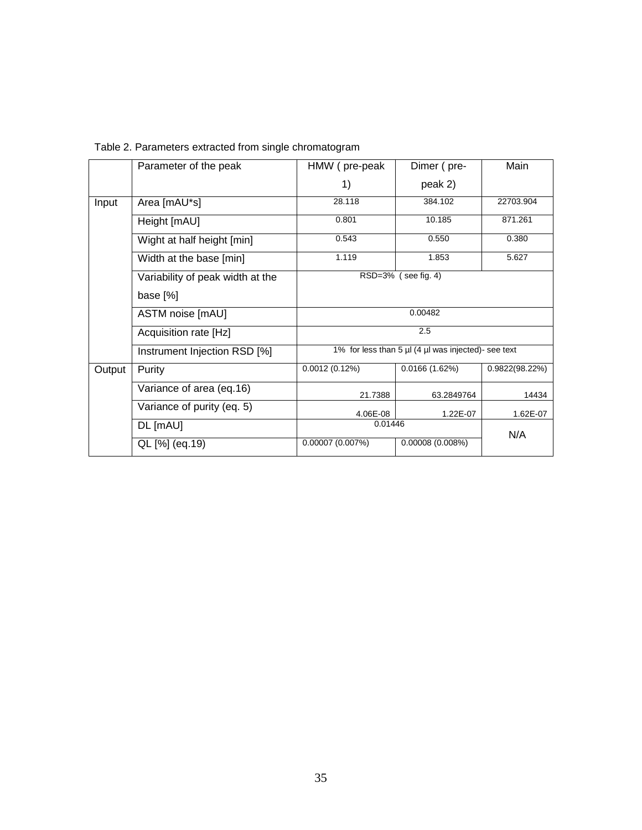|        | Parameter of the peak            | HMW (pre-peak                                            | Dimer (pre-        | Main           |  |  |
|--------|----------------------------------|----------------------------------------------------------|--------------------|----------------|--|--|
|        |                                  | 1)                                                       | peak 2)            |                |  |  |
| Input  | Area [mAU*s]                     | 28.118                                                   | 384.102            | 22703.904      |  |  |
|        | Height [mAU]                     | 0.801                                                    | 10.185             | 871.261        |  |  |
|        | Wight at half height [min]       | 0.543                                                    | 0.550              | 0.380          |  |  |
|        | Width at the base [min]          | 1.119                                                    | 1.853              | 5.627          |  |  |
|        | Variability of peak width at the | $RSD=3\%$ (see fig. 4)                                   |                    |                |  |  |
|        | base [%]                         |                                                          |                    |                |  |  |
|        | ASTM noise [mAU]                 | 0.00482                                                  |                    |                |  |  |
|        | Acquisition rate [Hz]            | 2.5                                                      |                    |                |  |  |
|        | Instrument Injection RSD [%]     | 1% for less than 5 $\mu$ (4 $\mu$ was injected)-see text |                    |                |  |  |
| Output | Purity                           | $0.0012(0.12\%)$                                         | 0.0166(1.62%)      | 0.9822(98.22%) |  |  |
|        | Variance of area (eq.16)         | 21.7388                                                  | 63.2849764         | 14434          |  |  |
|        | Variance of purity (eq. 5)       | 4.06E-08                                                 | 1.22E-07           | 1.62E-07       |  |  |
|        | DL [mAU]                         | 0.01446                                                  | N/A                |                |  |  |
|        | QL [%] (eq.19)                   | 0.00007(0.007%)                                          | $0.00008(0.008\%)$ |                |  |  |

Table 2. Parameters extracted from single chromatogram